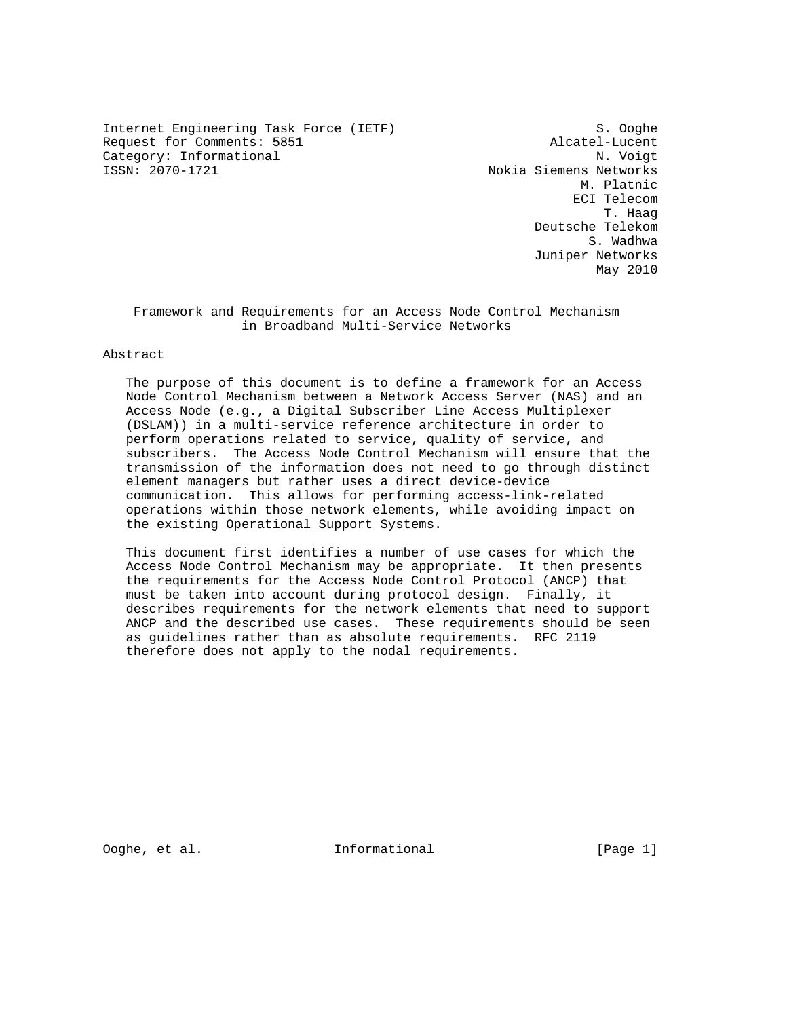Internet Engineering Task Force (IETF) S. Ooghe Request for Comments: 5851 Alcatel-Lucent<br>Category: Informational M. Voigt Category: Informational<br>ISSN: 2070-1721

Nokia Siemens Networks M. Platnic ECI Telecom T. Haag Deutsche Telekom S. Wadhwa Juniper Networks May 2010

 Framework and Requirements for an Access Node Control Mechanism in Broadband Multi-Service Networks

## Abstract

 The purpose of this document is to define a framework for an Access Node Control Mechanism between a Network Access Server (NAS) and an Access Node (e.g., a Digital Subscriber Line Access Multiplexer (DSLAM)) in a multi-service reference architecture in order to perform operations related to service, quality of service, and subscribers. The Access Node Control Mechanism will ensure that the transmission of the information does not need to go through distinct element managers but rather uses a direct device-device communication. This allows for performing access-link-related operations within those network elements, while avoiding impact on the existing Operational Support Systems.

 This document first identifies a number of use cases for which the Access Node Control Mechanism may be appropriate. It then presents the requirements for the Access Node Control Protocol (ANCP) that must be taken into account during protocol design. Finally, it describes requirements for the network elements that need to support ANCP and the described use cases. These requirements should be seen as guidelines rather than as absolute requirements. RFC 2119 therefore does not apply to the nodal requirements.

Ooghe, et al. Informational [Page 1]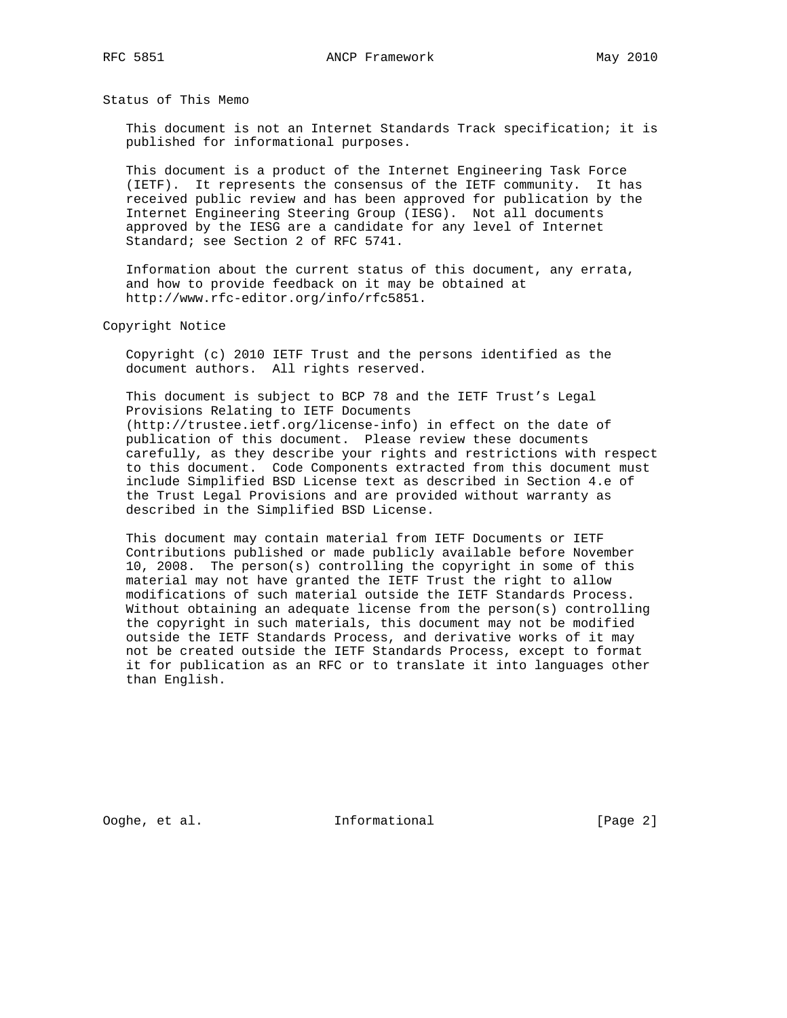Status of This Memo

 This document is not an Internet Standards Track specification; it is published for informational purposes.

 This document is a product of the Internet Engineering Task Force (IETF). It represents the consensus of the IETF community. It has received public review and has been approved for publication by the Internet Engineering Steering Group (IESG). Not all documents approved by the IESG are a candidate for any level of Internet Standard; see Section 2 of RFC 5741.

 Information about the current status of this document, any errata, and how to provide feedback on it may be obtained at http://www.rfc-editor.org/info/rfc5851.

Copyright Notice

 Copyright (c) 2010 IETF Trust and the persons identified as the document authors. All rights reserved.

 This document is subject to BCP 78 and the IETF Trust's Legal Provisions Relating to IETF Documents (http://trustee.ietf.org/license-info) in effect on the date of publication of this document. Please review these documents carefully, as they describe your rights and restrictions with respect to this document. Code Components extracted from this document must include Simplified BSD License text as described in Section 4.e of the Trust Legal Provisions and are provided without warranty as described in the Simplified BSD License.

 This document may contain material from IETF Documents or IETF Contributions published or made publicly available before November 10, 2008. The person(s) controlling the copyright in some of this material may not have granted the IETF Trust the right to allow modifications of such material outside the IETF Standards Process. Without obtaining an adequate license from the person(s) controlling the copyright in such materials, this document may not be modified outside the IETF Standards Process, and derivative works of it may not be created outside the IETF Standards Process, except to format it for publication as an RFC or to translate it into languages other than English.

Ooghe, et al. Informational [Page 2]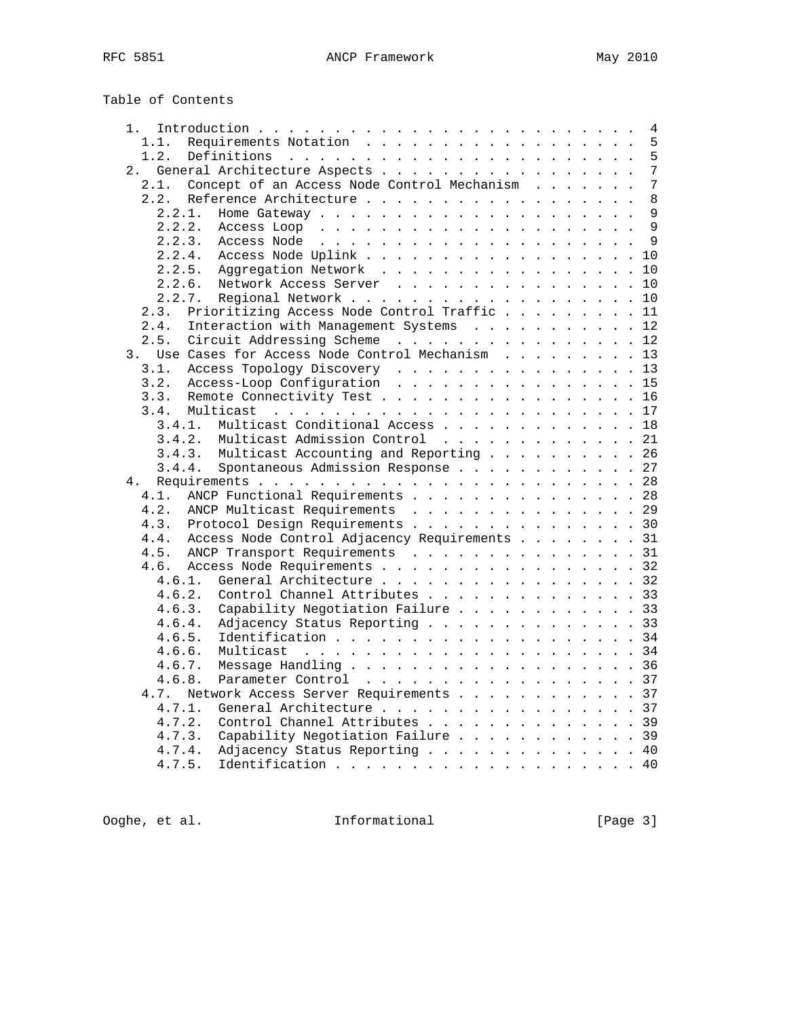| Table of Contents |  |
|-------------------|--|
|-------------------|--|

| 1.     |                                                                                                                                                                                                                                               |  |  |  | $\overline{4}$ |
|--------|-----------------------------------------------------------------------------------------------------------------------------------------------------------------------------------------------------------------------------------------------|--|--|--|----------------|
| 1.1.   | Requirements Notation                                                                                                                                                                                                                         |  |  |  | 5              |
| 1.2.   |                                                                                                                                                                                                                                               |  |  |  | 5              |
| 2.     | General Architecture Aspects                                                                                                                                                                                                                  |  |  |  | 7              |
| 2.1.   | Concept of an Access Node Control Mechanism                                                                                                                                                                                                   |  |  |  | 7              |
| 2.2.   | Reference Architecture                                                                                                                                                                                                                        |  |  |  | 8              |
| 2.2.1. | Home Gateway $\cdots$ , $\cdots$ , $\cdots$ , $\cdots$ , $\cdots$ , $\cdots$                                                                                                                                                                  |  |  |  | 9              |
| 2.2.2. |                                                                                                                                                                                                                                               |  |  |  | 9              |
| 2.2.3. | Access Node<br>and the contract of the contract of the contract of the contract of the contract of the contract of the contract of the contract of the contract of the contract of the contract of the contract of the contract of the contra |  |  |  | $\mathsf{Q}$   |
| 2.2.4. | Access Node Uplink                                                                                                                                                                                                                            |  |  |  | 10             |
| 2.2.5. | Aggregation Network                                                                                                                                                                                                                           |  |  |  | 10             |
|        | 2.2.6.<br>Network Access Server                                                                                                                                                                                                               |  |  |  | 10             |
| 2.2.7. |                                                                                                                                                                                                                                               |  |  |  | 10             |
| 2.3.   | Prioritizing Access Node Control Traffic                                                                                                                                                                                                      |  |  |  | 11             |
| 2.4.   | Interaction with Management Systems                                                                                                                                                                                                           |  |  |  | 12             |
| 2.5.   | Circuit Addressing Scheme                                                                                                                                                                                                                     |  |  |  | 12             |
| 3.     | Use Cases for Access Node Control Mechanism                                                                                                                                                                                                   |  |  |  | 13             |
| 3.1.   | Access Topology Discovery 13                                                                                                                                                                                                                  |  |  |  |                |
| 3.2.   | Access-Loop Configuration                                                                                                                                                                                                                     |  |  |  | 15             |
| 3.3.   | Remote Connectivity Test                                                                                                                                                                                                                      |  |  |  | 16             |
| 3.4.   |                                                                                                                                                                                                                                               |  |  |  |                |
| 3.4.1. | Multicast Conditional Access                                                                                                                                                                                                                  |  |  |  | 18             |
| 3.4.2. | Multicast Admission Control                                                                                                                                                                                                                   |  |  |  | 21             |
|        | Multicast Accounting and Reporting 26<br>3.4.3.                                                                                                                                                                                               |  |  |  |                |
|        | Spontaneous Admission Response 27<br>3.4.4.                                                                                                                                                                                                   |  |  |  |                |
| 4.     |                                                                                                                                                                                                                                               |  |  |  |                |
| 4.1.   | ANCP Functional Requirements                                                                                                                                                                                                                  |  |  |  | 28             |
| 4.2.   | ANCP Multicast Requirements                                                                                                                                                                                                                   |  |  |  | 29             |
| 4.3.   | Protocol Design Requirements 30                                                                                                                                                                                                               |  |  |  |                |
| 4.4.   | Access Node Control Adjacency Requirements 31                                                                                                                                                                                                 |  |  |  |                |
| 4.5.   | ANCP Transport Requirements 31                                                                                                                                                                                                                |  |  |  |                |
|        | 4.6. Access Node Requirements                                                                                                                                                                                                                 |  |  |  | 32             |
| 4.6.1. | General Architecture 32                                                                                                                                                                                                                       |  |  |  |                |
| 4.6.2. | Control Channel Attributes 33                                                                                                                                                                                                                 |  |  |  |                |
| 4.6.3. | Capability Negotiation Failure 33                                                                                                                                                                                                             |  |  |  |                |
| 4.6.4. | Adjacency Status Reporting 33                                                                                                                                                                                                                 |  |  |  |                |
| 4.6.5. | Identification 34                                                                                                                                                                                                                             |  |  |  |                |
| 4.6.6. | Multicast                                                                                                                                                                                                                                     |  |  |  | 34             |
| 4.6.7. | Message Handling 36                                                                                                                                                                                                                           |  |  |  |                |
| 4.6.8. | Parameter Control                                                                                                                                                                                                                             |  |  |  | 37             |
| 4.7.   | Network Access Server Requirements                                                                                                                                                                                                            |  |  |  | 37             |
| 4.7.1. | General Architecture 37                                                                                                                                                                                                                       |  |  |  |                |
| 4.7.2. | Control Channel Attributes 39                                                                                                                                                                                                                 |  |  |  |                |
| 4.7.3. | Capability Negotiation Failure 39                                                                                                                                                                                                             |  |  |  |                |
| 4.7.4. | Adjacency Status Reporting                                                                                                                                                                                                                    |  |  |  | 40             |
| 4.7.5. | Identification 40                                                                                                                                                                                                                             |  |  |  |                |
|        |                                                                                                                                                                                                                                               |  |  |  |                |

Ooghe, et al. 1nformational 1999 [Page 3]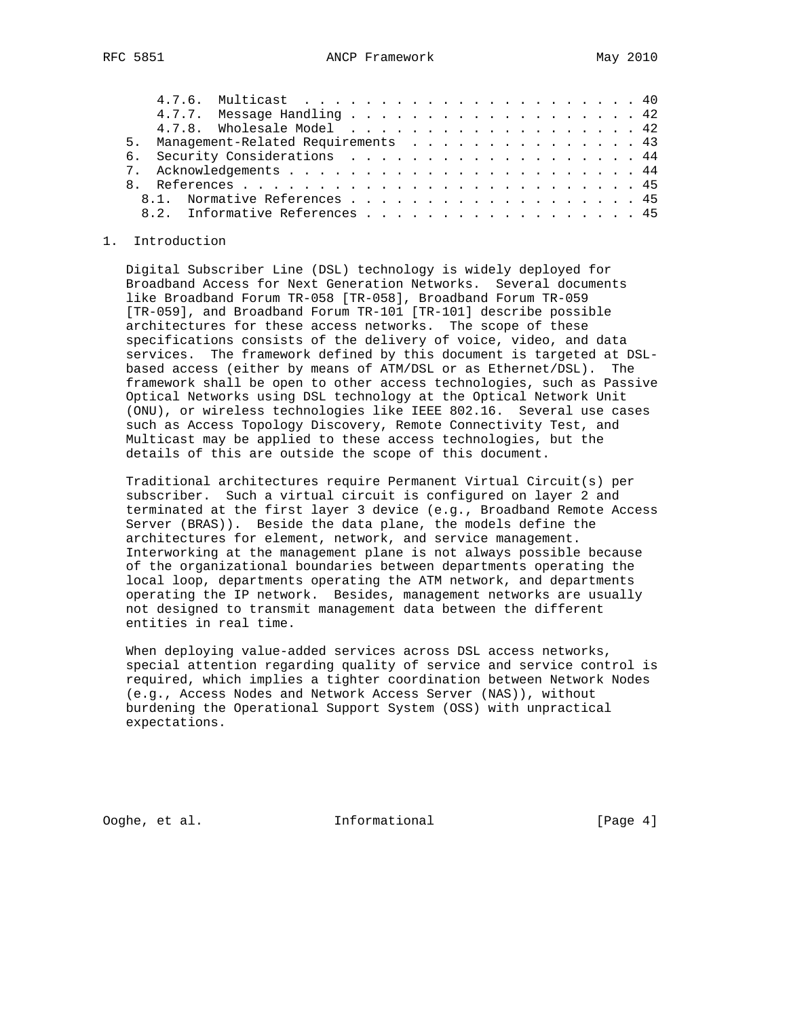|  | <b>RFC 5851</b> |  | ANCP Framework |  | May 2010 |
|--|-----------------|--|----------------|--|----------|
|--|-----------------|--|----------------|--|----------|

|  |  | 4.7.7. Message Handling 42            |  |  |  |  |  |  |  |  |  |  |  |  |
|--|--|---------------------------------------|--|--|--|--|--|--|--|--|--|--|--|--|
|  |  | 4.7.8. Wholesale Model 42             |  |  |  |  |  |  |  |  |  |  |  |  |
|  |  | 5. Management-Related Requirements 43 |  |  |  |  |  |  |  |  |  |  |  |  |
|  |  | 6. Security Considerations 44         |  |  |  |  |  |  |  |  |  |  |  |  |
|  |  |                                       |  |  |  |  |  |  |  |  |  |  |  |  |
|  |  |                                       |  |  |  |  |  |  |  |  |  |  |  |  |
|  |  | 8.1. Normative References 45          |  |  |  |  |  |  |  |  |  |  |  |  |
|  |  | 8.2. Informative References 45        |  |  |  |  |  |  |  |  |  |  |  |  |
|  |  |                                       |  |  |  |  |  |  |  |  |  |  |  |  |

## 1. Introduction

 Digital Subscriber Line (DSL) technology is widely deployed for Broadband Access for Next Generation Networks. Several documents like Broadband Forum TR-058 [TR-058], Broadband Forum TR-059 [TR-059], and Broadband Forum TR-101 [TR-101] describe possible architectures for these access networks. The scope of these specifications consists of the delivery of voice, video, and data services. The framework defined by this document is targeted at DSL based access (either by means of ATM/DSL or as Ethernet/DSL). The framework shall be open to other access technologies, such as Passive Optical Networks using DSL technology at the Optical Network Unit (ONU), or wireless technologies like IEEE 802.16. Several use cases such as Access Topology Discovery, Remote Connectivity Test, and Multicast may be applied to these access technologies, but the details of this are outside the scope of this document.

 Traditional architectures require Permanent Virtual Circuit(s) per subscriber. Such a virtual circuit is configured on layer 2 and terminated at the first layer 3 device (e.g., Broadband Remote Access Server (BRAS)). Beside the data plane, the models define the architectures for element, network, and service management. Interworking at the management plane is not always possible because of the organizational boundaries between departments operating the local loop, departments operating the ATM network, and departments operating the IP network. Besides, management networks are usually not designed to transmit management data between the different entities in real time.

 When deploying value-added services across DSL access networks, special attention regarding quality of service and service control is required, which implies a tighter coordination between Network Nodes (e.g., Access Nodes and Network Access Server (NAS)), without burdening the Operational Support System (OSS) with unpractical expectations.

Ooghe, et al. Informational [Page 4]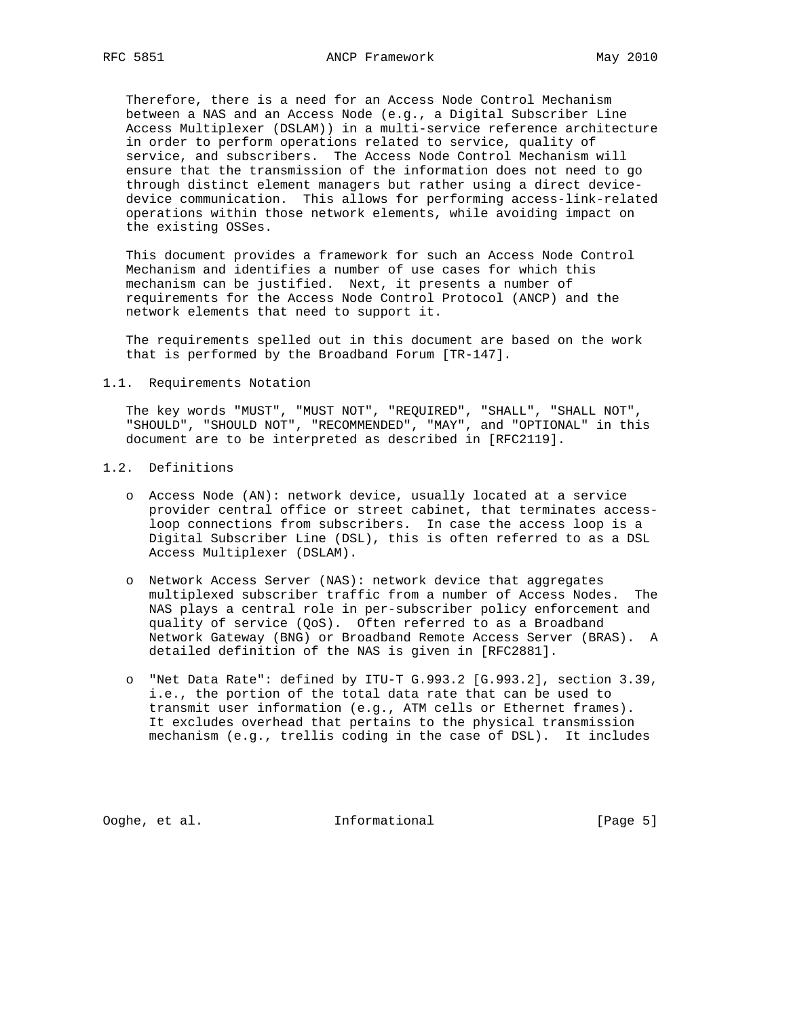Therefore, there is a need for an Access Node Control Mechanism between a NAS and an Access Node (e.g., a Digital Subscriber Line Access Multiplexer (DSLAM)) in a multi-service reference architecture in order to perform operations related to service, quality of service, and subscribers. The Access Node Control Mechanism will ensure that the transmission of the information does not need to go through distinct element managers but rather using a direct device device communication. This allows for performing access-link-related operations within those network elements, while avoiding impact on the existing OSSes.

 This document provides a framework for such an Access Node Control Mechanism and identifies a number of use cases for which this mechanism can be justified. Next, it presents a number of requirements for the Access Node Control Protocol (ANCP) and the network elements that need to support it.

 The requirements spelled out in this document are based on the work that is performed by the Broadband Forum [TR-147].

#### 1.1. Requirements Notation

 The key words "MUST", "MUST NOT", "REQUIRED", "SHALL", "SHALL NOT", "SHOULD", "SHOULD NOT", "RECOMMENDED", "MAY", and "OPTIONAL" in this document are to be interpreted as described in [RFC2119].

# 1.2. Definitions

- o Access Node (AN): network device, usually located at a service provider central office or street cabinet, that terminates access loop connections from subscribers. In case the access loop is a Digital Subscriber Line (DSL), this is often referred to as a DSL Access Multiplexer (DSLAM).
- o Network Access Server (NAS): network device that aggregates multiplexed subscriber traffic from a number of Access Nodes. The NAS plays a central role in per-subscriber policy enforcement and quality of service (QoS). Often referred to as a Broadband Network Gateway (BNG) or Broadband Remote Access Server (BRAS). A detailed definition of the NAS is given in [RFC2881].
- o "Net Data Rate": defined by ITU-T G.993.2 [G.993.2], section 3.39, i.e., the portion of the total data rate that can be used to transmit user information (e.g., ATM cells or Ethernet frames). It excludes overhead that pertains to the physical transmission mechanism (e.g., trellis coding in the case of DSL). It includes

Ooghe, et al. Informational [Page 5]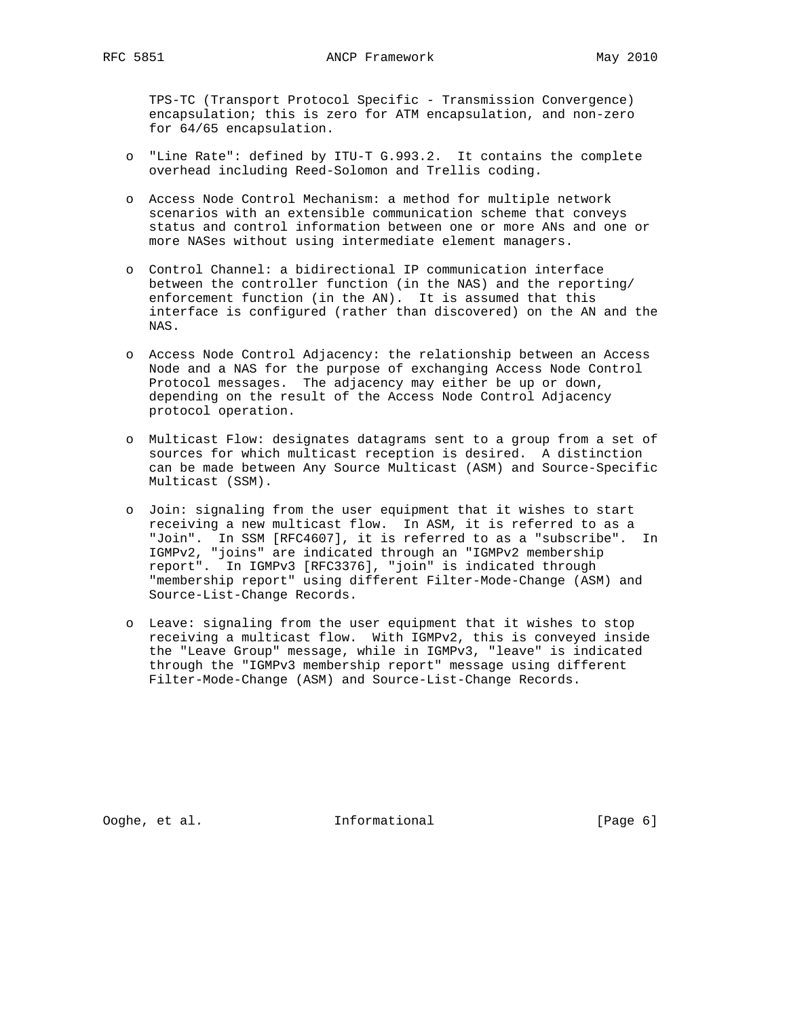TPS-TC (Transport Protocol Specific - Transmission Convergence) encapsulation; this is zero for ATM encapsulation, and non-zero for 64/65 encapsulation.

- o "Line Rate": defined by ITU-T G.993.2. It contains the complete overhead including Reed-Solomon and Trellis coding.
- o Access Node Control Mechanism: a method for multiple network scenarios with an extensible communication scheme that conveys status and control information between one or more ANs and one or more NASes without using intermediate element managers.
- o Control Channel: a bidirectional IP communication interface between the controller function (in the NAS) and the reporting/ enforcement function (in the AN). It is assumed that this interface is configured (rather than discovered) on the AN and the NAS.
- o Access Node Control Adjacency: the relationship between an Access Node and a NAS for the purpose of exchanging Access Node Control Protocol messages. The adjacency may either be up or down, depending on the result of the Access Node Control Adjacency protocol operation.
- o Multicast Flow: designates datagrams sent to a group from a set of sources for which multicast reception is desired. A distinction can be made between Any Source Multicast (ASM) and Source-Specific Multicast (SSM).
- o Join: signaling from the user equipment that it wishes to start receiving a new multicast flow. In ASM, it is referred to as a "Join". In SSM [RFC4607], it is referred to as a "subscribe". In IGMPv2, "joins" are indicated through an "IGMPv2 membership report". In IGMPv3 [RFC3376], "join" is indicated through "membership report" using different Filter-Mode-Change (ASM) and Source-List-Change Records.
- o Leave: signaling from the user equipment that it wishes to stop receiving a multicast flow. With IGMPv2, this is conveyed inside the "Leave Group" message, while in IGMPv3, "leave" is indicated through the "IGMPv3 membership report" message using different Filter-Mode-Change (ASM) and Source-List-Change Records.

Ooghe, et al. Informational [Page 6]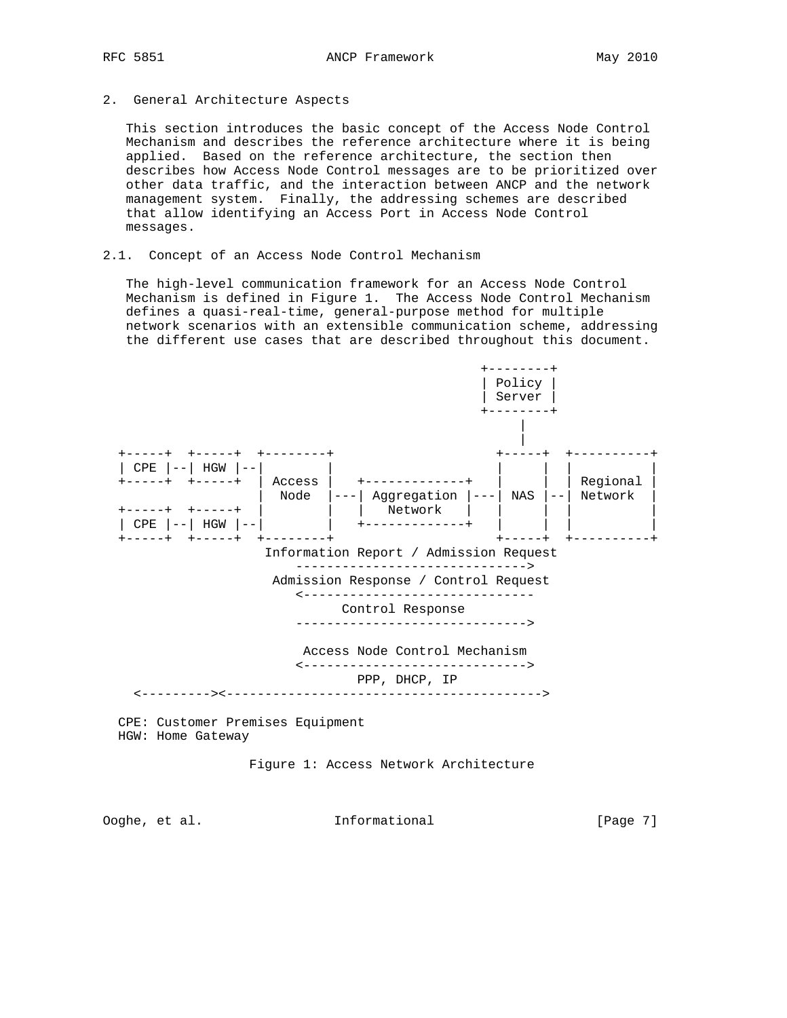2. General Architecture Aspects

 This section introduces the basic concept of the Access Node Control Mechanism and describes the reference architecture where it is being applied. Based on the reference architecture, the section then describes how Access Node Control messages are to be prioritized over other data traffic, and the interaction between ANCP and the network management system. Finally, the addressing schemes are described that allow identifying an Access Port in Access Node Control messages.

2.1. Concept of an Access Node Control Mechanism

 The high-level communication framework for an Access Node Control Mechanism is defined in Figure 1. The Access Node Control Mechanism defines a quasi-real-time, general-purpose method for multiple network scenarios with an extensible communication scheme, addressing the different use cases that are described throughout this document.



HGW: Home Gateway

Figure 1: Access Network Architecture

Ooghe, et al. Informational [Page 7]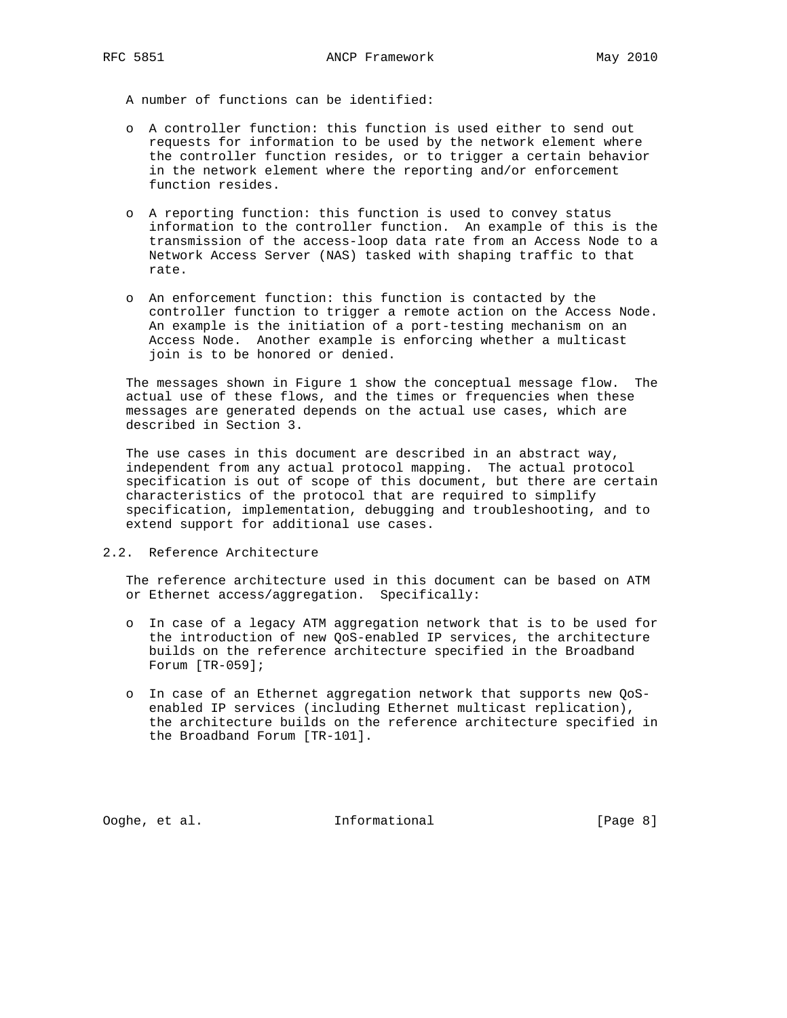A number of functions can be identified:

- o A controller function: this function is used either to send out requests for information to be used by the network element where the controller function resides, or to trigger a certain behavior in the network element where the reporting and/or enforcement function resides.
- o A reporting function: this function is used to convey status information to the controller function. An example of this is the transmission of the access-loop data rate from an Access Node to a Network Access Server (NAS) tasked with shaping traffic to that rate.
- o An enforcement function: this function is contacted by the controller function to trigger a remote action on the Access Node. An example is the initiation of a port-testing mechanism on an Access Node. Another example is enforcing whether a multicast join is to be honored or denied.

 The messages shown in Figure 1 show the conceptual message flow. The actual use of these flows, and the times or frequencies when these messages are generated depends on the actual use cases, which are described in Section 3.

 The use cases in this document are described in an abstract way, independent from any actual protocol mapping. The actual protocol specification is out of scope of this document, but there are certain characteristics of the protocol that are required to simplify specification, implementation, debugging and troubleshooting, and to extend support for additional use cases.

## 2.2. Reference Architecture

 The reference architecture used in this document can be based on ATM or Ethernet access/aggregation. Specifically:

- o In case of a legacy ATM aggregation network that is to be used for the introduction of new QoS-enabled IP services, the architecture builds on the reference architecture specified in the Broadband Forum [TR-059];
- o In case of an Ethernet aggregation network that supports new QoS enabled IP services (including Ethernet multicast replication), the architecture builds on the reference architecture specified in the Broadband Forum [TR-101].

Ooghe, et al. Informational [Page 8]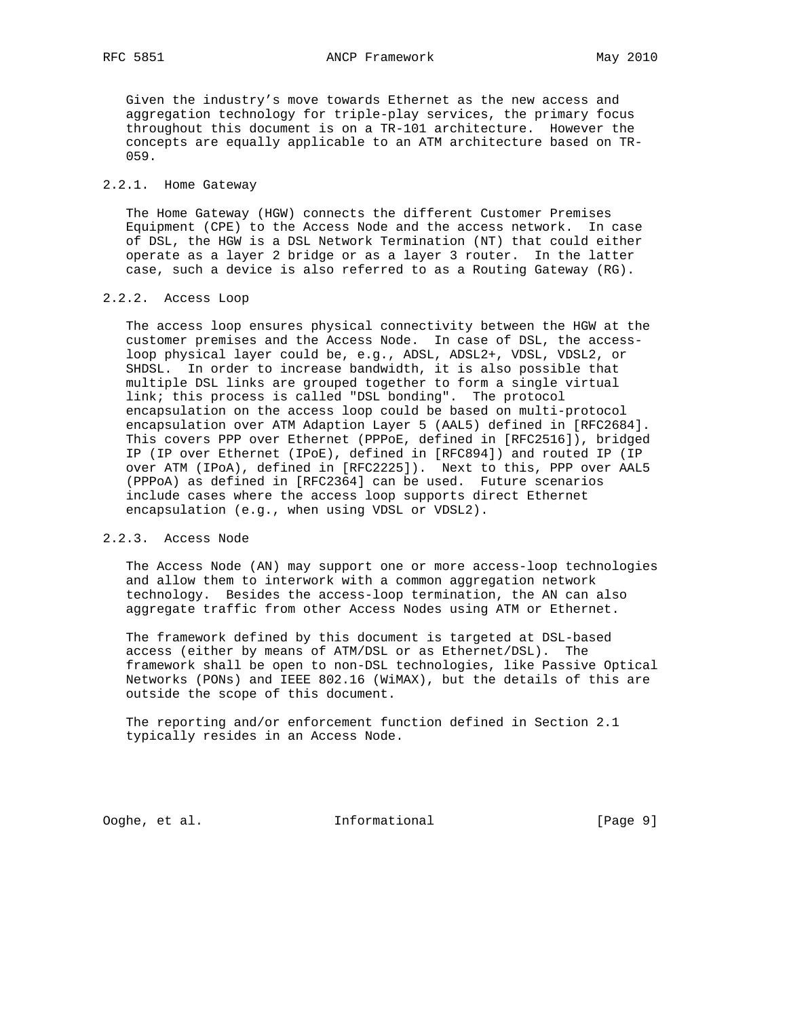Given the industry's move towards Ethernet as the new access and aggregation technology for triple-play services, the primary focus throughout this document is on a TR-101 architecture. However the concepts are equally applicable to an ATM architecture based on TR- 059.

## 2.2.1. Home Gateway

 The Home Gateway (HGW) connects the different Customer Premises Equipment (CPE) to the Access Node and the access network. In case of DSL, the HGW is a DSL Network Termination (NT) that could either operate as a layer 2 bridge or as a layer 3 router. In the latter case, such a device is also referred to as a Routing Gateway (RG).

## 2.2.2. Access Loop

 The access loop ensures physical connectivity between the HGW at the customer premises and the Access Node. In case of DSL, the access loop physical layer could be, e.g., ADSL, ADSL2+, VDSL, VDSL2, or SHDSL. In order to increase bandwidth, it is also possible that multiple DSL links are grouped together to form a single virtual link; this process is called "DSL bonding". The protocol encapsulation on the access loop could be based on multi-protocol encapsulation over ATM Adaption Layer 5 (AAL5) defined in [RFC2684]. This covers PPP over Ethernet (PPPoE, defined in [RFC2516]), bridged IP (IP over Ethernet (IPoE), defined in [RFC894]) and routed IP (IP over ATM (IPoA), defined in [RFC2225]). Next to this, PPP over AAL5 (PPPoA) as defined in [RFC2364] can be used. Future scenarios include cases where the access loop supports direct Ethernet encapsulation (e.g., when using VDSL or VDSL2).

## 2.2.3. Access Node

 The Access Node (AN) may support one or more access-loop technologies and allow them to interwork with a common aggregation network technology. Besides the access-loop termination, the AN can also aggregate traffic from other Access Nodes using ATM or Ethernet.

 The framework defined by this document is targeted at DSL-based access (either by means of ATM/DSL or as Ethernet/DSL). The framework shall be open to non-DSL technologies, like Passive Optical Networks (PONs) and IEEE 802.16 (WiMAX), but the details of this are outside the scope of this document.

 The reporting and/or enforcement function defined in Section 2.1 typically resides in an Access Node.

Ooghe, et al. Informational [Page 9]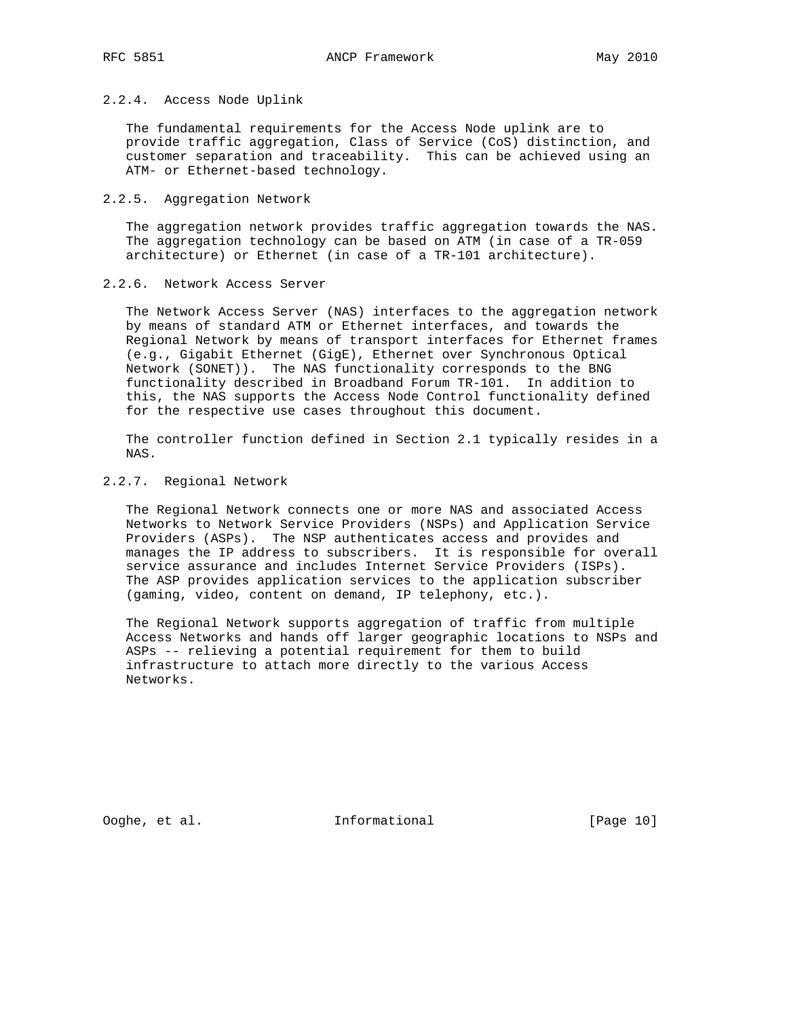## 2.2.4. Access Node Uplink

 The fundamental requirements for the Access Node uplink are to provide traffic aggregation, Class of Service (CoS) distinction, and customer separation and traceability. This can be achieved using an ATM- or Ethernet-based technology.

#### 2.2.5. Aggregation Network

 The aggregation network provides traffic aggregation towards the NAS. The aggregation technology can be based on ATM (in case of a TR-059 architecture) or Ethernet (in case of a TR-101 architecture).

## 2.2.6. Network Access Server

 The Network Access Server (NAS) interfaces to the aggregation network by means of standard ATM or Ethernet interfaces, and towards the Regional Network by means of transport interfaces for Ethernet frames (e.g., Gigabit Ethernet (GigE), Ethernet over Synchronous Optical Network (SONET)). The NAS functionality corresponds to the BNG functionality described in Broadband Forum TR-101. In addition to this, the NAS supports the Access Node Control functionality defined for the respective use cases throughout this document.

 The controller function defined in Section 2.1 typically resides in a NAS.

### 2.2.7. Regional Network

 The Regional Network connects one or more NAS and associated Access Networks to Network Service Providers (NSPs) and Application Service Providers (ASPs). The NSP authenticates access and provides and manages the IP address to subscribers. It is responsible for overall service assurance and includes Internet Service Providers (ISPs). The ASP provides application services to the application subscriber (gaming, video, content on demand, IP telephony, etc.).

 The Regional Network supports aggregation of traffic from multiple Access Networks and hands off larger geographic locations to NSPs and ASPs -- relieving a potential requirement for them to build infrastructure to attach more directly to the various Access Networks.

Ooghe, et al. Informational [Page 10]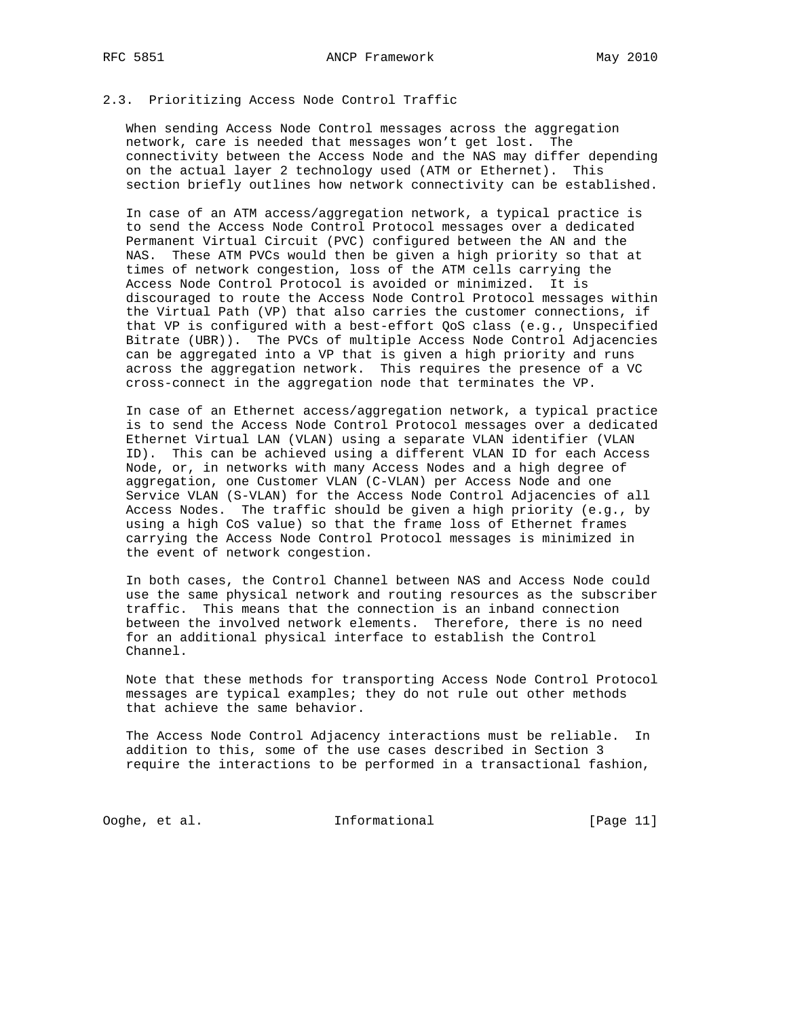### 2.3. Prioritizing Access Node Control Traffic

 When sending Access Node Control messages across the aggregation network, care is needed that messages won't get lost. The connectivity between the Access Node and the NAS may differ depending on the actual layer 2 technology used (ATM or Ethernet). This section briefly outlines how network connectivity can be established.

 In case of an ATM access/aggregation network, a typical practice is to send the Access Node Control Protocol messages over a dedicated Permanent Virtual Circuit (PVC) configured between the AN and the NAS. These ATM PVCs would then be given a high priority so that at times of network congestion, loss of the ATM cells carrying the Access Node Control Protocol is avoided or minimized. It is discouraged to route the Access Node Control Protocol messages within the Virtual Path (VP) that also carries the customer connections, if that VP is configured with a best-effort QoS class (e.g., Unspecified Bitrate (UBR)). The PVCs of multiple Access Node Control Adjacencies can be aggregated into a VP that is given a high priority and runs across the aggregation network. This requires the presence of a VC cross-connect in the aggregation node that terminates the VP.

 In case of an Ethernet access/aggregation network, a typical practice is to send the Access Node Control Protocol messages over a dedicated Ethernet Virtual LAN (VLAN) using a separate VLAN identifier (VLAN ID). This can be achieved using a different VLAN ID for each Access Node, or, in networks with many Access Nodes and a high degree of aggregation, one Customer VLAN (C-VLAN) per Access Node and one Service VLAN (S-VLAN) for the Access Node Control Adjacencies of all Access Nodes. The traffic should be given a high priority (e.g., by using a high CoS value) so that the frame loss of Ethernet frames carrying the Access Node Control Protocol messages is minimized in the event of network congestion.

 In both cases, the Control Channel between NAS and Access Node could use the same physical network and routing resources as the subscriber traffic. This means that the connection is an inband connection between the involved network elements. Therefore, there is no need for an additional physical interface to establish the Control Channel.

 Note that these methods for transporting Access Node Control Protocol messages are typical examples; they do not rule out other methods that achieve the same behavior.

 The Access Node Control Adjacency interactions must be reliable. In addition to this, some of the use cases described in Section 3 require the interactions to be performed in a transactional fashion,

Ooghe, et al. Informational [Page 11]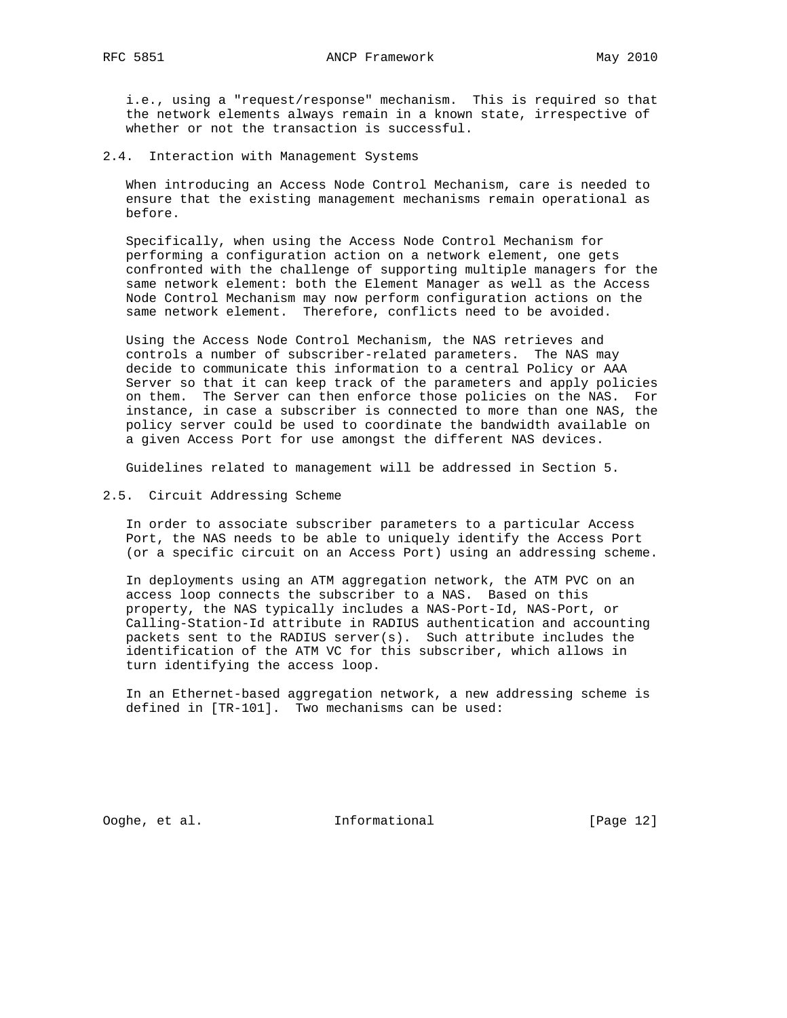i.e., using a "request/response" mechanism. This is required so that the network elements always remain in a known state, irrespective of whether or not the transaction is successful.

2.4. Interaction with Management Systems

 When introducing an Access Node Control Mechanism, care is needed to ensure that the existing management mechanisms remain operational as before.

 Specifically, when using the Access Node Control Mechanism for performing a configuration action on a network element, one gets confronted with the challenge of supporting multiple managers for the same network element: both the Element Manager as well as the Access Node Control Mechanism may now perform configuration actions on the same network element. Therefore, conflicts need to be avoided.

 Using the Access Node Control Mechanism, the NAS retrieves and controls a number of subscriber-related parameters. The NAS may decide to communicate this information to a central Policy or AAA Server so that it can keep track of the parameters and apply policies on them. The Server can then enforce those policies on the NAS. For instance, in case a subscriber is connected to more than one NAS, the policy server could be used to coordinate the bandwidth available on a given Access Port for use amongst the different NAS devices.

Guidelines related to management will be addressed in Section 5.

2.5. Circuit Addressing Scheme

 In order to associate subscriber parameters to a particular Access Port, the NAS needs to be able to uniquely identify the Access Port (or a specific circuit on an Access Port) using an addressing scheme.

 In deployments using an ATM aggregation network, the ATM PVC on an access loop connects the subscriber to a NAS. Based on this property, the NAS typically includes a NAS-Port-Id, NAS-Port, or Calling-Station-Id attribute in RADIUS authentication and accounting packets sent to the RADIUS server(s). Such attribute includes the identification of the ATM VC for this subscriber, which allows in turn identifying the access loop.

 In an Ethernet-based aggregation network, a new addressing scheme is defined in [TR-101]. Two mechanisms can be used:

Ooghe, et al. Informational [Page 12]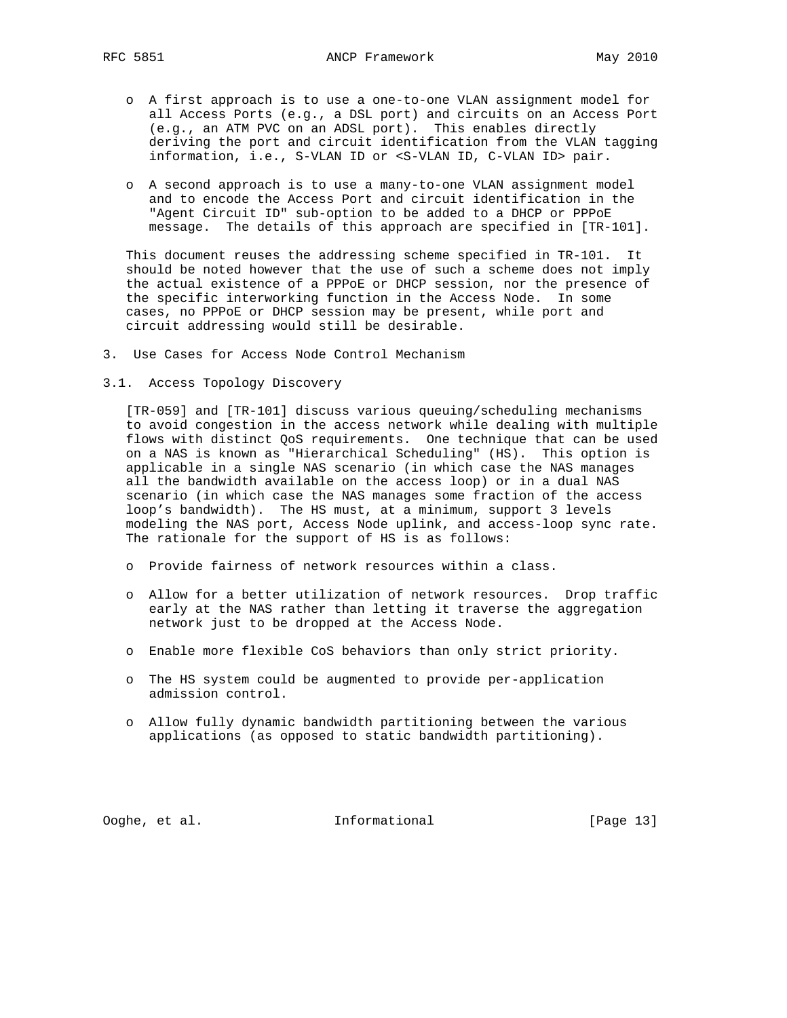- o A first approach is to use a one-to-one VLAN assignment model for all Access Ports (e.g., a DSL port) and circuits on an Access Port (e.g., an ATM PVC on an ADSL port). This enables directly deriving the port and circuit identification from the VLAN tagging information, i.e., S-VLAN ID or <S-VLAN ID, C-VLAN ID> pair.
- o A second approach is to use a many-to-one VLAN assignment model and to encode the Access Port and circuit identification in the "Agent Circuit ID" sub-option to be added to a DHCP or PPPoE message. The details of this approach are specified in [TR-101].

 This document reuses the addressing scheme specified in TR-101. It should be noted however that the use of such a scheme does not imply the actual existence of a PPPoE or DHCP session, nor the presence of the specific interworking function in the Access Node. In some cases, no PPPoE or DHCP session may be present, while port and circuit addressing would still be desirable.

- 3. Use Cases for Access Node Control Mechanism
- 3.1. Access Topology Discovery

 [TR-059] and [TR-101] discuss various queuing/scheduling mechanisms to avoid congestion in the access network while dealing with multiple flows with distinct QoS requirements. One technique that can be used on a NAS is known as "Hierarchical Scheduling" (HS). This option is applicable in a single NAS scenario (in which case the NAS manages all the bandwidth available on the access loop) or in a dual NAS scenario (in which case the NAS manages some fraction of the access loop's bandwidth). The HS must, at a minimum, support 3 levels modeling the NAS port, Access Node uplink, and access-loop sync rate. The rationale for the support of HS is as follows:

- o Provide fairness of network resources within a class.
- o Allow for a better utilization of network resources. Drop traffic early at the NAS rather than letting it traverse the aggregation network just to be dropped at the Access Node.
- o Enable more flexible CoS behaviors than only strict priority.
- o The HS system could be augmented to provide per-application admission control.
- o Allow fully dynamic bandwidth partitioning between the various applications (as opposed to static bandwidth partitioning).

Ooghe, et al. Informational [Page 13]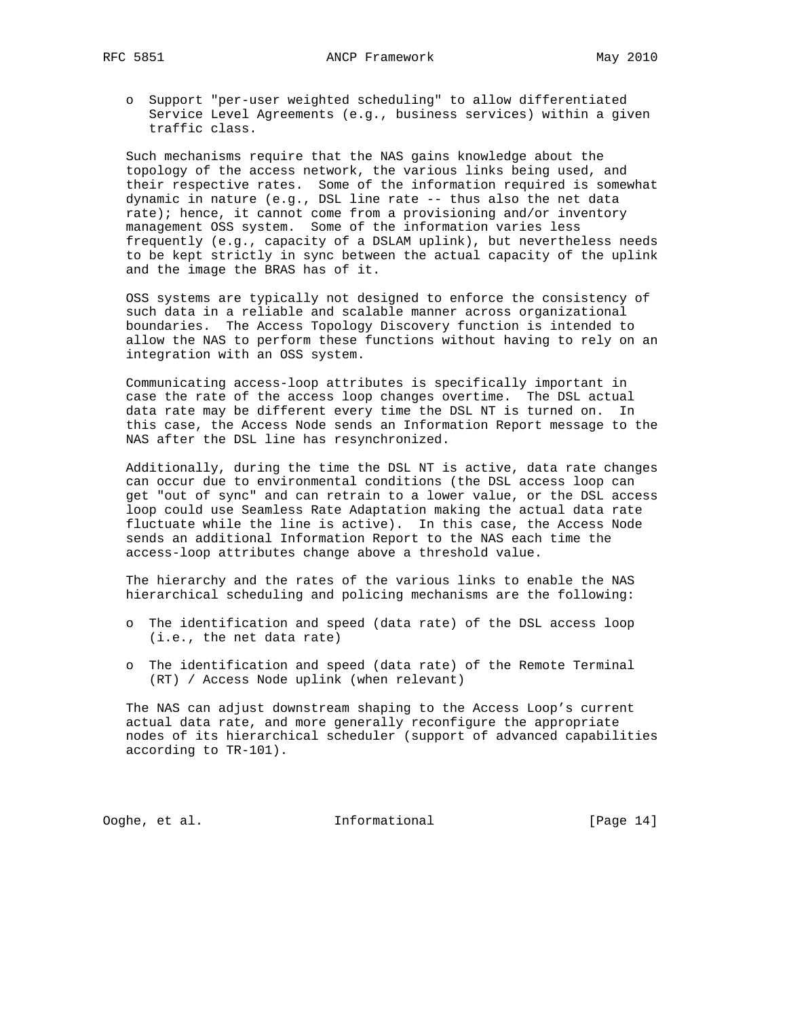o Support "per-user weighted scheduling" to allow differentiated Service Level Agreements (e.g., business services) within a given traffic class.

 Such mechanisms require that the NAS gains knowledge about the topology of the access network, the various links being used, and their respective rates. Some of the information required is somewhat dynamic in nature (e.g., DSL line rate -- thus also the net data rate); hence, it cannot come from a provisioning and/or inventory management OSS system. Some of the information varies less frequently (e.g., capacity of a DSLAM uplink), but nevertheless needs to be kept strictly in sync between the actual capacity of the uplink and the image the BRAS has of it.

 OSS systems are typically not designed to enforce the consistency of such data in a reliable and scalable manner across organizational boundaries. The Access Topology Discovery function is intended to allow the NAS to perform these functions without having to rely on an integration with an OSS system.

 Communicating access-loop attributes is specifically important in case the rate of the access loop changes overtime. The DSL actual data rate may be different every time the DSL NT is turned on. In this case, the Access Node sends an Information Report message to the NAS after the DSL line has resynchronized.

 Additionally, during the time the DSL NT is active, data rate changes can occur due to environmental conditions (the DSL access loop can get "out of sync" and can retrain to a lower value, or the DSL access loop could use Seamless Rate Adaptation making the actual data rate fluctuate while the line is active). In this case, the Access Node sends an additional Information Report to the NAS each time the access-loop attributes change above a threshold value.

 The hierarchy and the rates of the various links to enable the NAS hierarchical scheduling and policing mechanisms are the following:

- o The identification and speed (data rate) of the DSL access loop (i.e., the net data rate)
- o The identification and speed (data rate) of the Remote Terminal (RT) / Access Node uplink (when relevant)

 The NAS can adjust downstream shaping to the Access Loop's current actual data rate, and more generally reconfigure the appropriate nodes of its hierarchical scheduler (support of advanced capabilities according to TR-101).

Ooghe, et al. Informational [Page 14]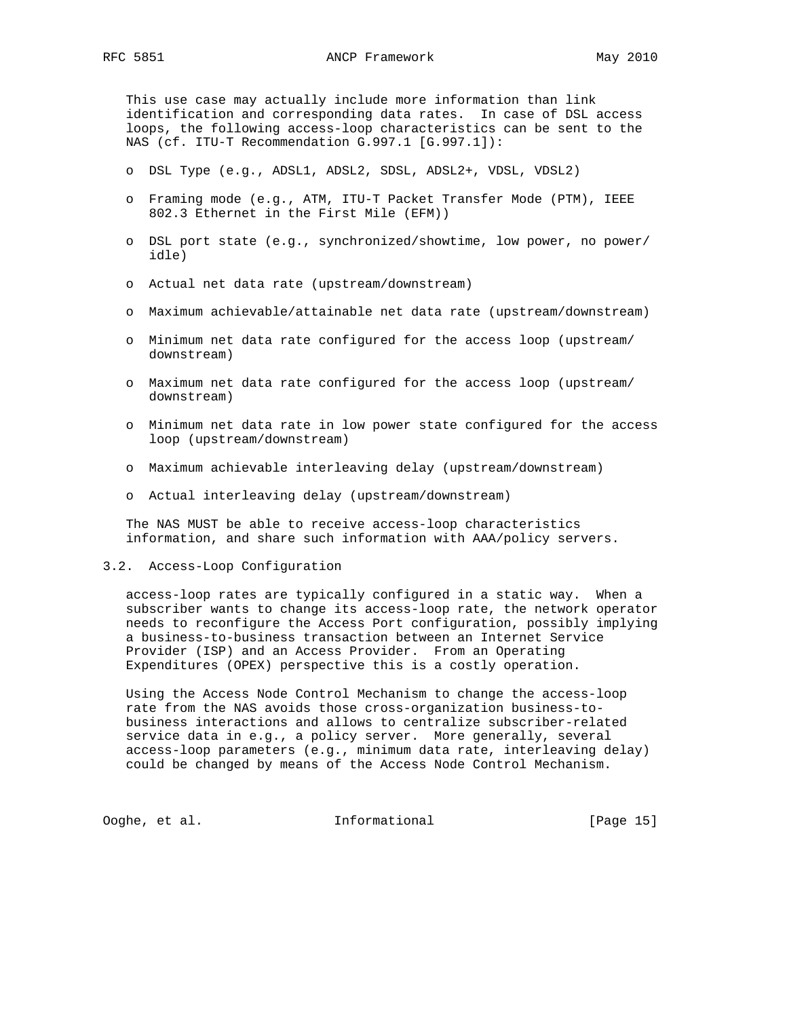This use case may actually include more information than link identification and corresponding data rates. In case of DSL access loops, the following access-loop characteristics can be sent to the NAS (cf. ITU-T Recommendation G.997.1 [G.997.1]):

- o DSL Type (e.g., ADSL1, ADSL2, SDSL, ADSL2+, VDSL, VDSL2)
- o Framing mode (e.g., ATM, ITU-T Packet Transfer Mode (PTM), IEEE 802.3 Ethernet in the First Mile (EFM))
- o DSL port state (e.g., synchronized/showtime, low power, no power/ idle)
- o Actual net data rate (upstream/downstream)
- o Maximum achievable/attainable net data rate (upstream/downstream)
- o Minimum net data rate configured for the access loop (upstream/ downstream)
- o Maximum net data rate configured for the access loop (upstream/ downstream)
- o Minimum net data rate in low power state configured for the access loop (upstream/downstream)
- o Maximum achievable interleaving delay (upstream/downstream)
- o Actual interleaving delay (upstream/downstream)

 The NAS MUST be able to receive access-loop characteristics information, and share such information with AAA/policy servers.

### 3.2. Access-Loop Configuration

 access-loop rates are typically configured in a static way. When a subscriber wants to change its access-loop rate, the network operator needs to reconfigure the Access Port configuration, possibly implying a business-to-business transaction between an Internet Service Provider (ISP) and an Access Provider. From an Operating Expenditures (OPEX) perspective this is a costly operation.

 Using the Access Node Control Mechanism to change the access-loop rate from the NAS avoids those cross-organization business-to business interactions and allows to centralize subscriber-related service data in e.g., a policy server. More generally, several access-loop parameters (e.g., minimum data rate, interleaving delay) could be changed by means of the Access Node Control Mechanism.

Ooghe, et al. Informational [Page 15]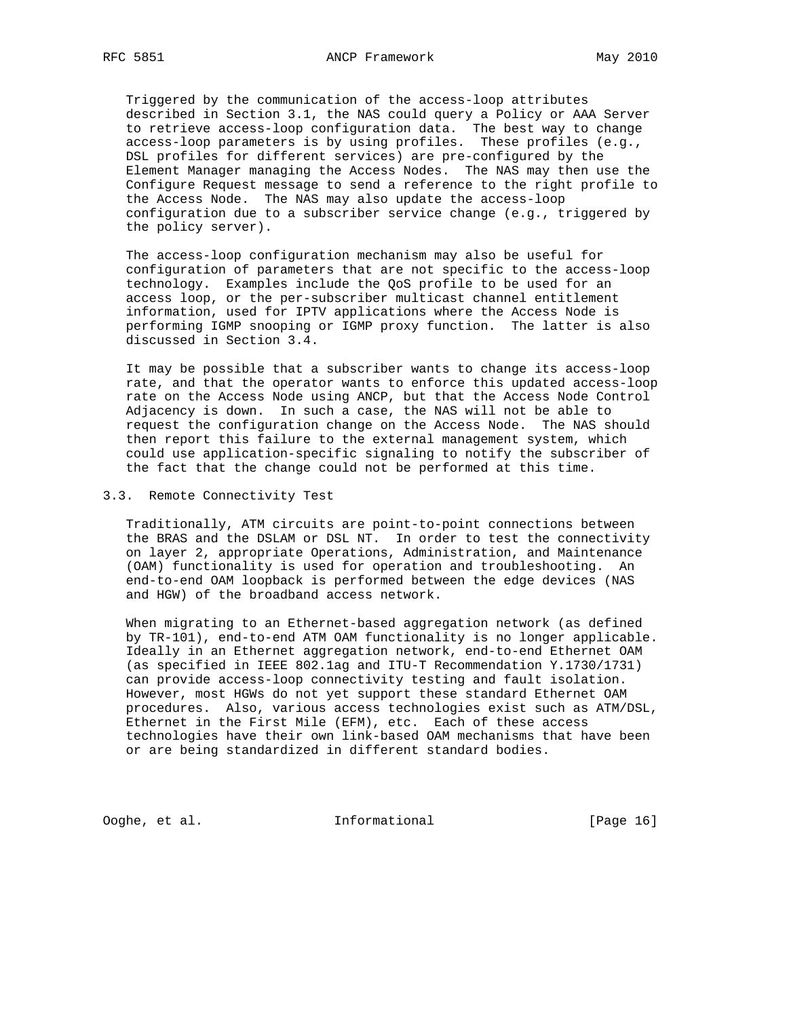Triggered by the communication of the access-loop attributes described in Section 3.1, the NAS could query a Policy or AAA Server to retrieve access-loop configuration data. The best way to change access-loop parameters is by using profiles. These profiles (e.g., DSL profiles for different services) are pre-configured by the Element Manager managing the Access Nodes. The NAS may then use the Configure Request message to send a reference to the right profile to the Access Node. The NAS may also update the access-loop configuration due to a subscriber service change (e.g., triggered by the policy server).

 The access-loop configuration mechanism may also be useful for configuration of parameters that are not specific to the access-loop technology. Examples include the QoS profile to be used for an access loop, or the per-subscriber multicast channel entitlement information, used for IPTV applications where the Access Node is performing IGMP snooping or IGMP proxy function. The latter is also discussed in Section 3.4.

 It may be possible that a subscriber wants to change its access-loop rate, and that the operator wants to enforce this updated access-loop rate on the Access Node using ANCP, but that the Access Node Control Adjacency is down. In such a case, the NAS will not be able to request the configuration change on the Access Node. The NAS should then report this failure to the external management system, which could use application-specific signaling to notify the subscriber of the fact that the change could not be performed at this time.

3.3. Remote Connectivity Test

 Traditionally, ATM circuits are point-to-point connections between the BRAS and the DSLAM or DSL NT. In order to test the connectivity on layer 2, appropriate Operations, Administration, and Maintenance (OAM) functionality is used for operation and troubleshooting. An end-to-end OAM loopback is performed between the edge devices (NAS and HGW) of the broadband access network.

 When migrating to an Ethernet-based aggregation network (as defined by TR-101), end-to-end ATM OAM functionality is no longer applicable. Ideally in an Ethernet aggregation network, end-to-end Ethernet OAM (as specified in IEEE 802.1ag and ITU-T Recommendation Y.1730/1731) can provide access-loop connectivity testing and fault isolation. However, most HGWs do not yet support these standard Ethernet OAM procedures. Also, various access technologies exist such as ATM/DSL, Ethernet in the First Mile (EFM), etc. Each of these access technologies have their own link-based OAM mechanisms that have been or are being standardized in different standard bodies.

Ooghe, et al. Informational [Page 16]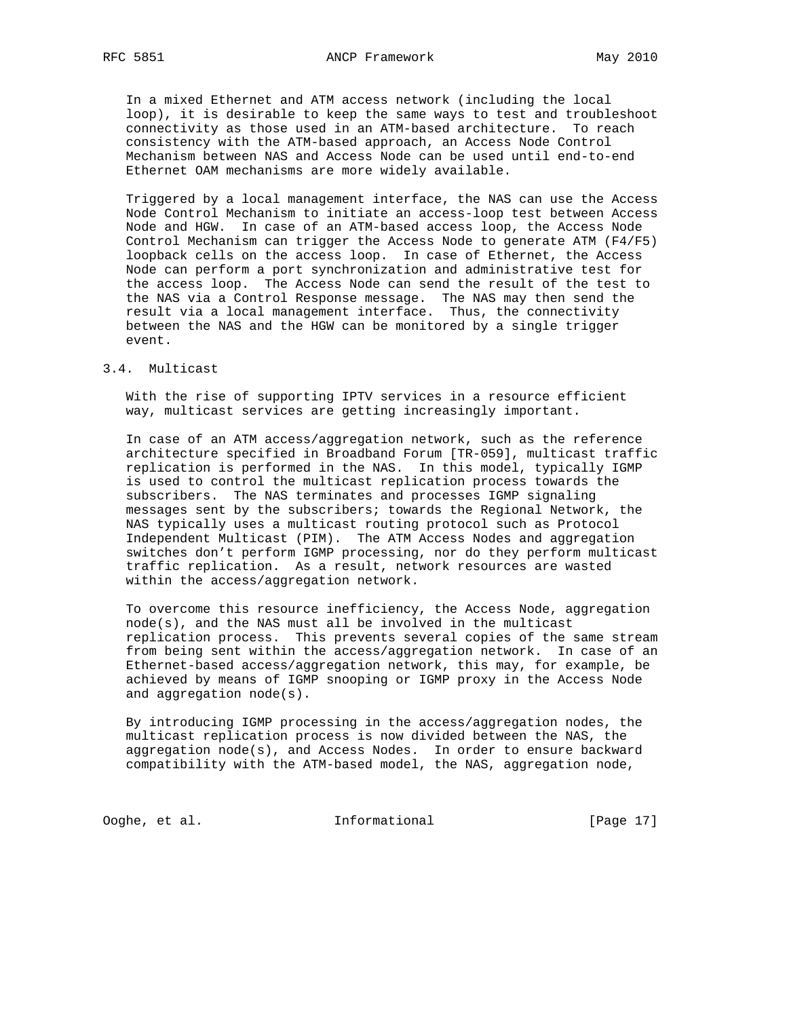In a mixed Ethernet and ATM access network (including the local loop), it is desirable to keep the same ways to test and troubleshoot connectivity as those used in an ATM-based architecture. To reach consistency with the ATM-based approach, an Access Node Control Mechanism between NAS and Access Node can be used until end-to-end Ethernet OAM mechanisms are more widely available.

 Triggered by a local management interface, the NAS can use the Access Node Control Mechanism to initiate an access-loop test between Access Node and HGW. In case of an ATM-based access loop, the Access Node Control Mechanism can trigger the Access Node to generate ATM (F4/F5) loopback cells on the access loop. In case of Ethernet, the Access Node can perform a port synchronization and administrative test for the access loop. The Access Node can send the result of the test to the NAS via a Control Response message. The NAS may then send the result via a local management interface. Thus, the connectivity between the NAS and the HGW can be monitored by a single trigger event.

### 3.4. Multicast

 With the rise of supporting IPTV services in a resource efficient way, multicast services are getting increasingly important.

 In case of an ATM access/aggregation network, such as the reference architecture specified in Broadband Forum [TR-059], multicast traffic replication is performed in the NAS. In this model, typically IGMP is used to control the multicast replication process towards the subscribers. The NAS terminates and processes IGMP signaling messages sent by the subscribers; towards the Regional Network, the NAS typically uses a multicast routing protocol such as Protocol Independent Multicast (PIM). The ATM Access Nodes and aggregation switches don't perform IGMP processing, nor do they perform multicast traffic replication. As a result, network resources are wasted within the access/aggregation network.

 To overcome this resource inefficiency, the Access Node, aggregation node(s), and the NAS must all be involved in the multicast replication process. This prevents several copies of the same stream from being sent within the access/aggregation network. In case of an Ethernet-based access/aggregation network, this may, for example, be achieved by means of IGMP snooping or IGMP proxy in the Access Node and aggregation node(s).

 By introducing IGMP processing in the access/aggregation nodes, the multicast replication process is now divided between the NAS, the aggregation node(s), and Access Nodes. In order to ensure backward compatibility with the ATM-based model, the NAS, aggregation node,

Ooghe, et al. Informational [Page 17]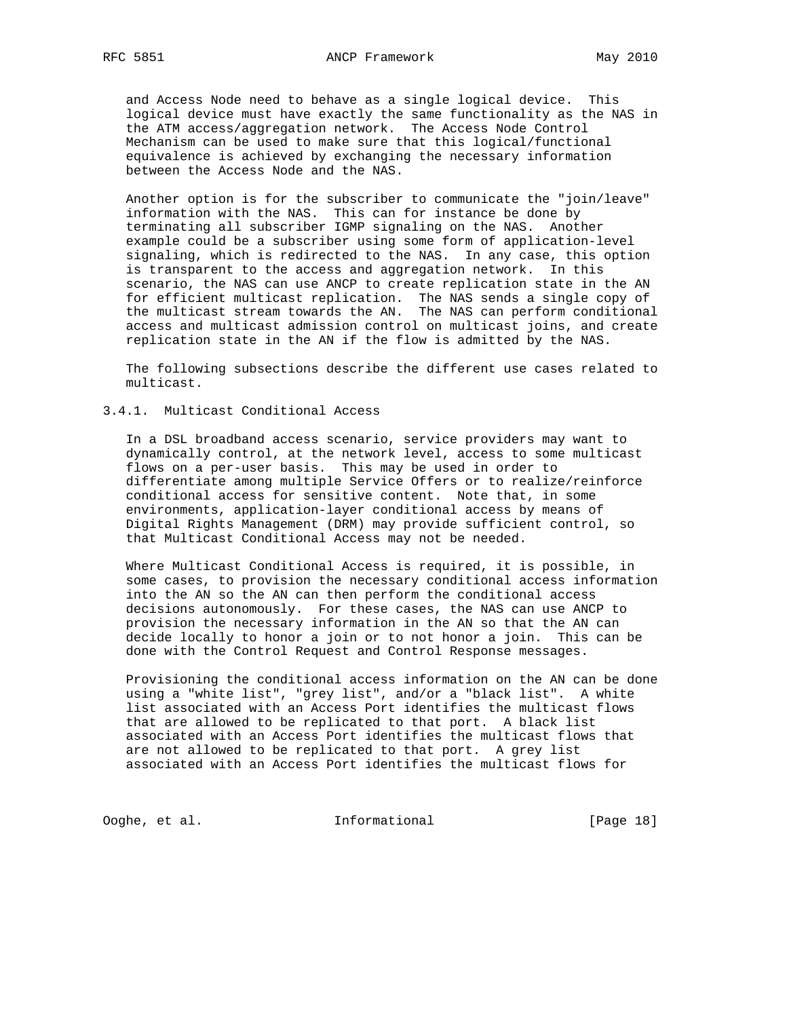and Access Node need to behave as a single logical device. This logical device must have exactly the same functionality as the NAS in the ATM access/aggregation network. The Access Node Control Mechanism can be used to make sure that this logical/functional equivalence is achieved by exchanging the necessary information between the Access Node and the NAS.

 Another option is for the subscriber to communicate the "join/leave" information with the NAS. This can for instance be done by terminating all subscriber IGMP signaling on the NAS. Another example could be a subscriber using some form of application-level signaling, which is redirected to the NAS. In any case, this option is transparent to the access and aggregation network. In this scenario, the NAS can use ANCP to create replication state in the AN for efficient multicast replication. The NAS sends a single copy of the multicast stream towards the AN. The NAS can perform conditional access and multicast admission control on multicast joins, and create replication state in the AN if the flow is admitted by the NAS.

 The following subsections describe the different use cases related to multicast.

3.4.1. Multicast Conditional Access

 In a DSL broadband access scenario, service providers may want to dynamically control, at the network level, access to some multicast flows on a per-user basis. This may be used in order to differentiate among multiple Service Offers or to realize/reinforce conditional access for sensitive content. Note that, in some environments, application-layer conditional access by means of Digital Rights Management (DRM) may provide sufficient control, so that Multicast Conditional Access may not be needed.

 Where Multicast Conditional Access is required, it is possible, in some cases, to provision the necessary conditional access information into the AN so the AN can then perform the conditional access decisions autonomously. For these cases, the NAS can use ANCP to provision the necessary information in the AN so that the AN can decide locally to honor a join or to not honor a join. This can be done with the Control Request and Control Response messages.

 Provisioning the conditional access information on the AN can be done using a "white list", "grey list", and/or a "black list". A white list associated with an Access Port identifies the multicast flows that are allowed to be replicated to that port. A black list associated with an Access Port identifies the multicast flows that are not allowed to be replicated to that port. A grey list associated with an Access Port identifies the multicast flows for

Ooghe, et al. Informational [Page 18]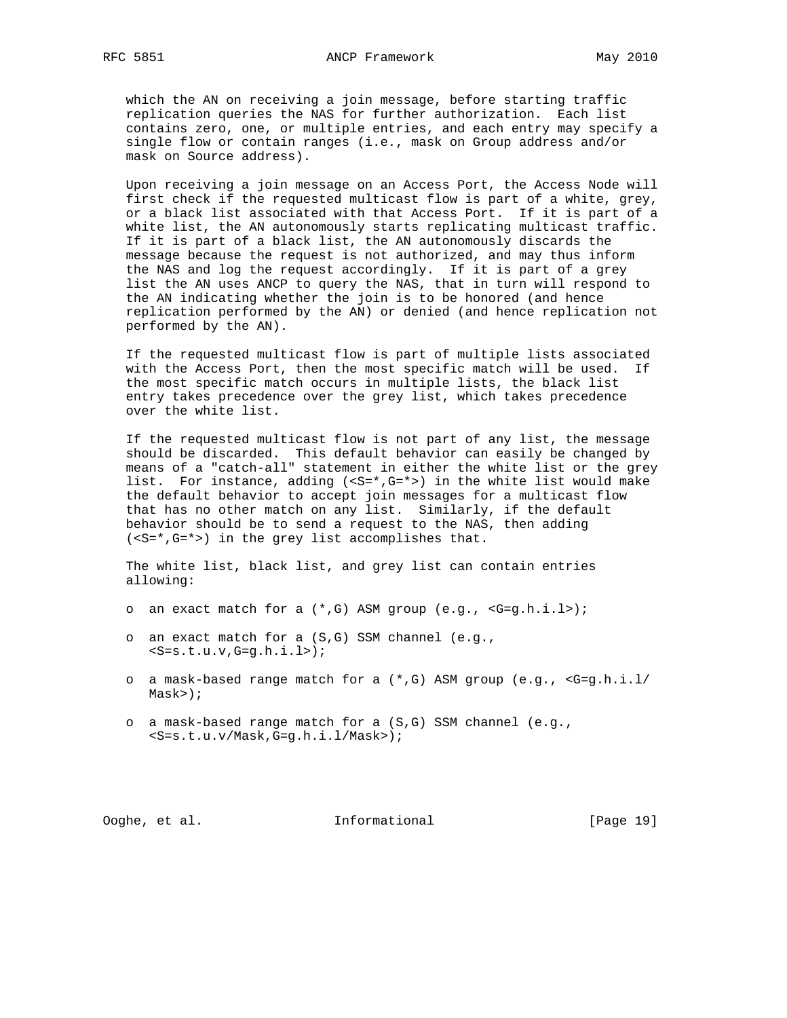which the AN on receiving a join message, before starting traffic replication queries the NAS for further authorization. Each list contains zero, one, or multiple entries, and each entry may specify a single flow or contain ranges (i.e., mask on Group address and/or mask on Source address).

 Upon receiving a join message on an Access Port, the Access Node will first check if the requested multicast flow is part of a white, grey, or a black list associated with that Access Port. If it is part of a white list, the AN autonomously starts replicating multicast traffic. If it is part of a black list, the AN autonomously discards the message because the request is not authorized, and may thus inform the NAS and log the request accordingly. If it is part of a grey list the AN uses ANCP to query the NAS, that in turn will respond to the AN indicating whether the join is to be honored (and hence replication performed by the AN) or denied (and hence replication not performed by the AN).

 If the requested multicast flow is part of multiple lists associated with the Access Port, then the most specific match will be used. If the most specific match occurs in multiple lists, the black list entry takes precedence over the grey list, which takes precedence over the white list.

 If the requested multicast flow is not part of any list, the message should be discarded. This default behavior can easily be changed by means of a "catch-all" statement in either the white list or the grey list. For instance, adding (<S=\*,G=\*>) in the white list would make the default behavior to accept join messages for a multicast flow that has no other match on any list. Similarly, if the default behavior should be to send a request to the NAS, then adding (<S=\*,G=\*>) in the grey list accomplishes that.

 The white list, black list, and grey list can contain entries allowing:

- o an exact match for a (\*,G) ASM group (e.g., <G=g.h.i.l>);
- o an exact match for a (S,G) SSM channel (e.g.,  $<$ S=s.t.u.v,G=q.h.i.l>);
- o a mask-based range match for a  $(*$ , G) ASM group (e.g.,  $\leq G=g.h.i.l/$ Mask>);
- o a mask-based range match for a (S,G) SSM channel (e.g., <S=s.t.u.v/Mask,G=g.h.i.l/Mask>);

# Ooghe, et al. Informational [Page 19]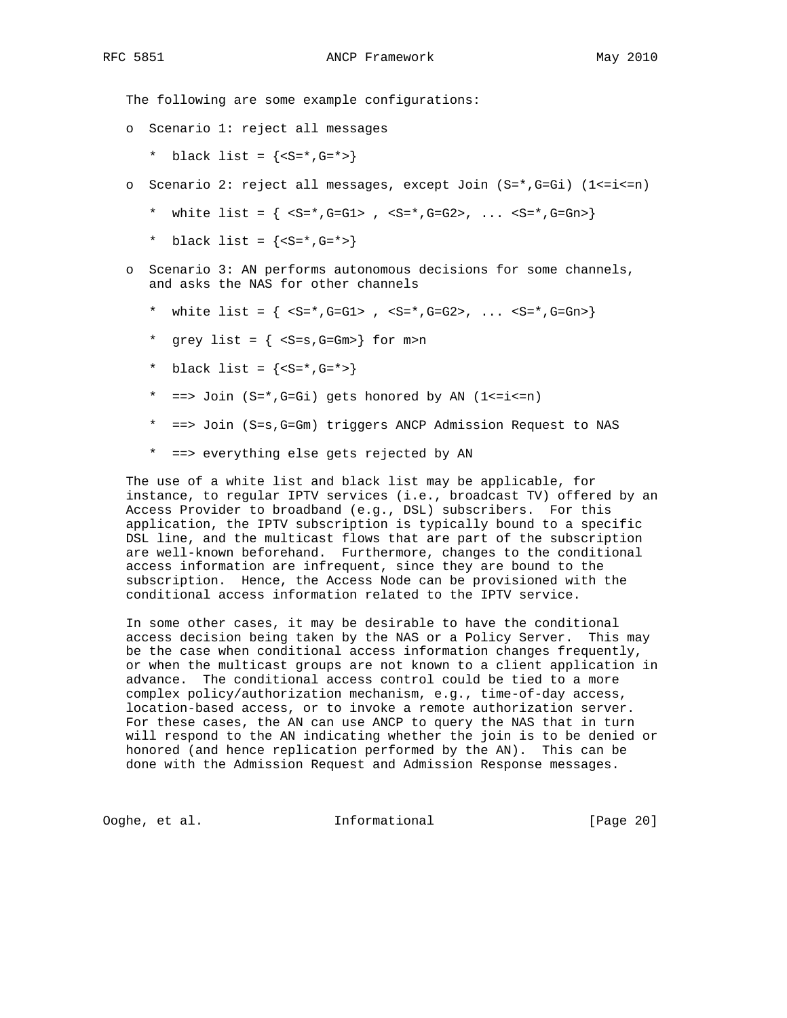The following are some example configurations:

- o Scenario 1: reject all messages
	- \* black list =  ${&$  {  $S=$   $S=$   $S=$   $S=$   $S=$   $S=$   $S=$
- o Scenario 2: reject all messages, except Join (S=\*,G=Gi) (1<=i<=n)
	- \* white list =  $\{ \text{ s=s, G=GL} \, , \text{ s=s, G=G2} \, , \, \ldots \, \text{ s=s, G=Gr} \}$
	- \* black list =  $\{< S=*, G=*> \}$
- o Scenario 3: AN performs autonomous decisions for some channels, and asks the NAS for other channels
	- \* white list =  $\{ \text{ s=s, G=GL} \, , \text{ s=s, G=G2} \, , \, \ldots \, \text{ s=s, G=Gr} \}$
	- \* grey list =  $\{  \}$  for  $m>n$
	- \* black list =  $\{ *, G=*>}$
	- \* ==> Join (S=\*,G=Gi) gets honored by AN (1<=i<=n)
	- \* ==> Join (S=s,G=Gm) triggers ANCP Admission Request to NAS
	- \* ==> everything else gets rejected by AN

 The use of a white list and black list may be applicable, for instance, to regular IPTV services (i.e., broadcast TV) offered by an Access Provider to broadband (e.g., DSL) subscribers. For this application, the IPTV subscription is typically bound to a specific DSL line, and the multicast flows that are part of the subscription are well-known beforehand. Furthermore, changes to the conditional access information are infrequent, since they are bound to the subscription. Hence, the Access Node can be provisioned with the conditional access information related to the IPTV service.

 In some other cases, it may be desirable to have the conditional access decision being taken by the NAS or a Policy Server. This may be the case when conditional access information changes frequently, or when the multicast groups are not known to a client application in advance. The conditional access control could be tied to a more complex policy/authorization mechanism, e.g., time-of-day access, location-based access, or to invoke a remote authorization server. For these cases, the AN can use ANCP to query the NAS that in turn will respond to the AN indicating whether the join is to be denied or honored (and hence replication performed by the AN). This can be done with the Admission Request and Admission Response messages.

Ooghe, et al. Informational [Page 20]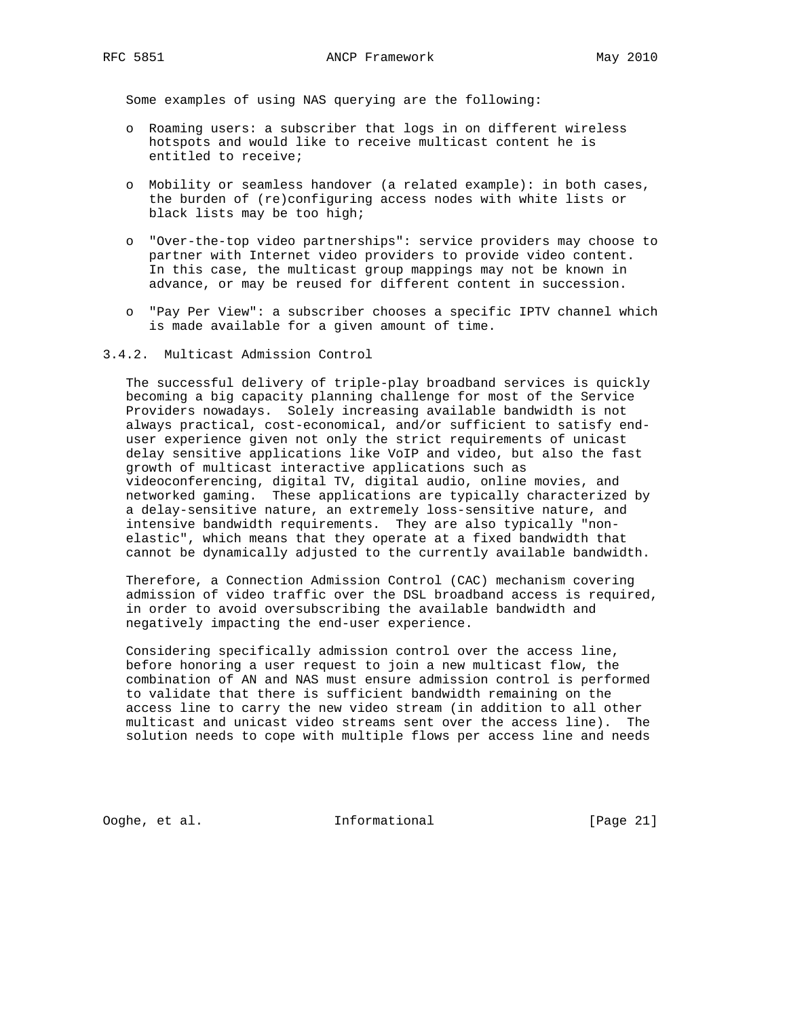Some examples of using NAS querying are the following:

- o Roaming users: a subscriber that logs in on different wireless hotspots and would like to receive multicast content he is entitled to receive;
- o Mobility or seamless handover (a related example): in both cases, the burden of (re)configuring access nodes with white lists or black lists may be too high;
- o "Over-the-top video partnerships": service providers may choose to partner with Internet video providers to provide video content. In this case, the multicast group mappings may not be known in advance, or may be reused for different content in succession.
- o "Pay Per View": a subscriber chooses a specific IPTV channel which is made available for a given amount of time.

## 3.4.2. Multicast Admission Control

 The successful delivery of triple-play broadband services is quickly becoming a big capacity planning challenge for most of the Service Providers nowadays. Solely increasing available bandwidth is not always practical, cost-economical, and/or sufficient to satisfy end user experience given not only the strict requirements of unicast delay sensitive applications like VoIP and video, but also the fast growth of multicast interactive applications such as videoconferencing, digital TV, digital audio, online movies, and networked gaming. These applications are typically characterized by a delay-sensitive nature, an extremely loss-sensitive nature, and intensive bandwidth requirements. They are also typically "non elastic", which means that they operate at a fixed bandwidth that cannot be dynamically adjusted to the currently available bandwidth.

 Therefore, a Connection Admission Control (CAC) mechanism covering admission of video traffic over the DSL broadband access is required, in order to avoid oversubscribing the available bandwidth and negatively impacting the end-user experience.

 Considering specifically admission control over the access line, before honoring a user request to join a new multicast flow, the combination of AN and NAS must ensure admission control is performed to validate that there is sufficient bandwidth remaining on the access line to carry the new video stream (in addition to all other multicast and unicast video streams sent over the access line). The solution needs to cope with multiple flows per access line and needs

Ooghe, et al. Informational [Page 21]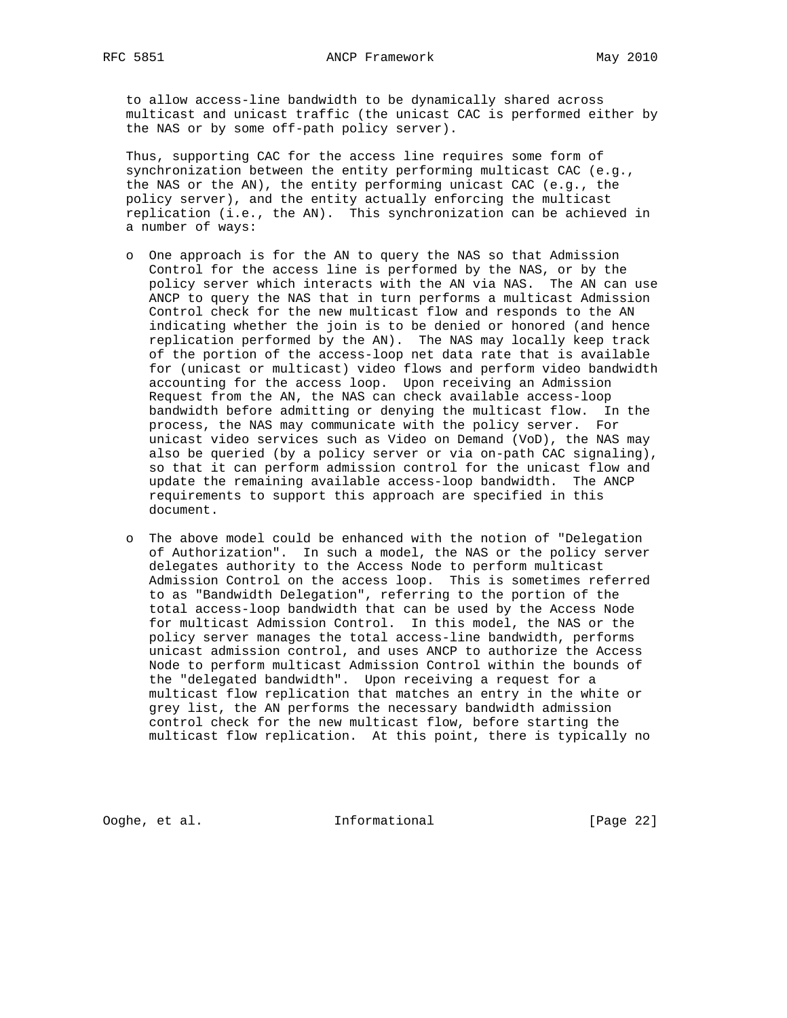to allow access-line bandwidth to be dynamically shared across multicast and unicast traffic (the unicast CAC is performed either by the NAS or by some off-path policy server).

 Thus, supporting CAC for the access line requires some form of synchronization between the entity performing multicast CAC (e.g., the NAS or the AN), the entity performing unicast CAC (e.g., the policy server), and the entity actually enforcing the multicast replication (i.e., the AN). This synchronization can be achieved in a number of ways:

- o One approach is for the AN to query the NAS so that Admission Control for the access line is performed by the NAS, or by the policy server which interacts with the AN via NAS. The AN can use ANCP to query the NAS that in turn performs a multicast Admission Control check for the new multicast flow and responds to the AN indicating whether the join is to be denied or honored (and hence replication performed by the AN). The NAS may locally keep track of the portion of the access-loop net data rate that is available for (unicast or multicast) video flows and perform video bandwidth accounting for the access loop. Upon receiving an Admission Request from the AN, the NAS can check available access-loop bandwidth before admitting or denying the multicast flow. In the process, the NAS may communicate with the policy server. For unicast video services such as Video on Demand (VoD), the NAS may also be queried (by a policy server or via on-path CAC signaling), so that it can perform admission control for the unicast flow and update the remaining available access-loop bandwidth. The ANCP requirements to support this approach are specified in this document.
- o The above model could be enhanced with the notion of "Delegation of Authorization". In such a model, the NAS or the policy server delegates authority to the Access Node to perform multicast Admission Control on the access loop. This is sometimes referred to as "Bandwidth Delegation", referring to the portion of the total access-loop bandwidth that can be used by the Access Node for multicast Admission Control. In this model, the NAS or the policy server manages the total access-line bandwidth, performs unicast admission control, and uses ANCP to authorize the Access Node to perform multicast Admission Control within the bounds of the "delegated bandwidth". Upon receiving a request for a multicast flow replication that matches an entry in the white or grey list, the AN performs the necessary bandwidth admission control check for the new multicast flow, before starting the multicast flow replication. At this point, there is typically no

Ooghe, et al. Informational [Page 22]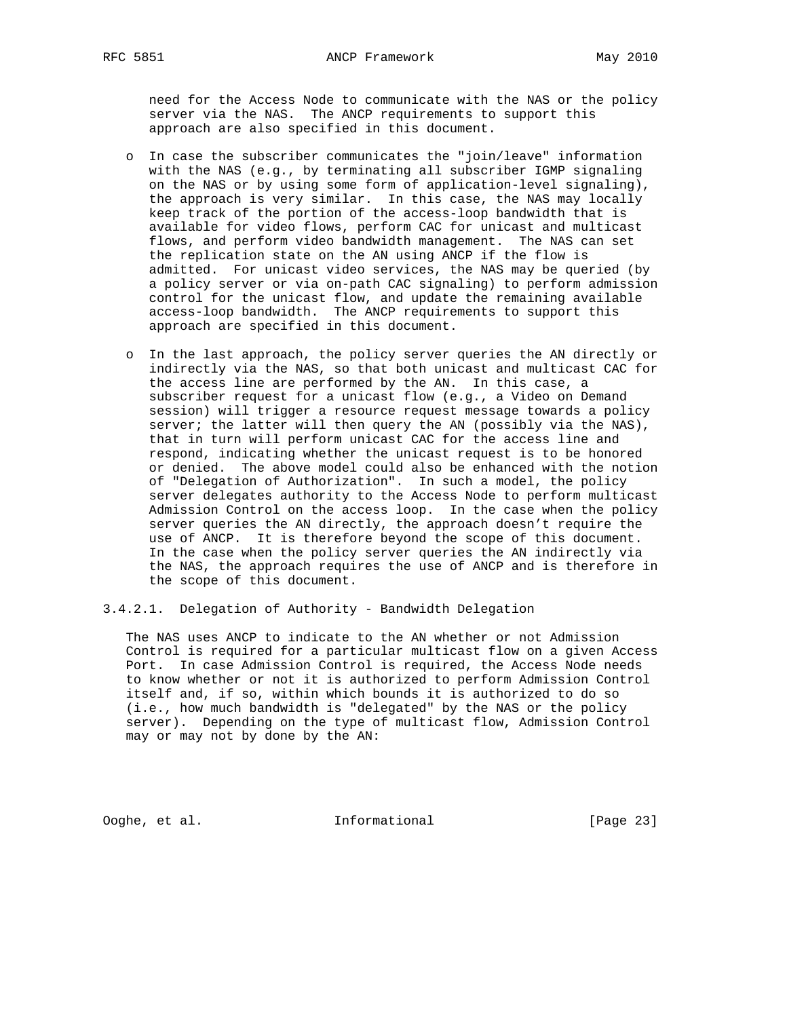need for the Access Node to communicate with the NAS or the policy server via the NAS. The ANCP requirements to support this approach are also specified in this document.

- o In case the subscriber communicates the "join/leave" information with the NAS (e.g., by terminating all subscriber IGMP signaling on the NAS or by using some form of application-level signaling), the approach is very similar. In this case, the NAS may locally keep track of the portion of the access-loop bandwidth that is available for video flows, perform CAC for unicast and multicast flows, and perform video bandwidth management. The NAS can set the replication state on the AN using ANCP if the flow is admitted. For unicast video services, the NAS may be queried (by a policy server or via on-path CAC signaling) to perform admission control for the unicast flow, and update the remaining available access-loop bandwidth. The ANCP requirements to support this approach are specified in this document.
- o In the last approach, the policy server queries the AN directly or indirectly via the NAS, so that both unicast and multicast CAC for the access line are performed by the AN. In this case, a subscriber request for a unicast flow (e.g., a Video on Demand session) will trigger a resource request message towards a policy server; the latter will then query the AN (possibly via the NAS), that in turn will perform unicast CAC for the access line and respond, indicating whether the unicast request is to be honored or denied. The above model could also be enhanced with the notion of "Delegation of Authorization". In such a model, the policy server delegates authority to the Access Node to perform multicast Admission Control on the access loop. In the case when the policy server queries the AN directly, the approach doesn't require the use of ANCP. It is therefore beyond the scope of this document. In the case when the policy server queries the AN indirectly via the NAS, the approach requires the use of ANCP and is therefore in the scope of this document.

## 3.4.2.1. Delegation of Authority - Bandwidth Delegation

 The NAS uses ANCP to indicate to the AN whether or not Admission Control is required for a particular multicast flow on a given Access Port. In case Admission Control is required, the Access Node needs to know whether or not it is authorized to perform Admission Control itself and, if so, within which bounds it is authorized to do so (i.e., how much bandwidth is "delegated" by the NAS or the policy server). Depending on the type of multicast flow, Admission Control may or may not by done by the AN:

Ooghe, et al. Informational [Page 23]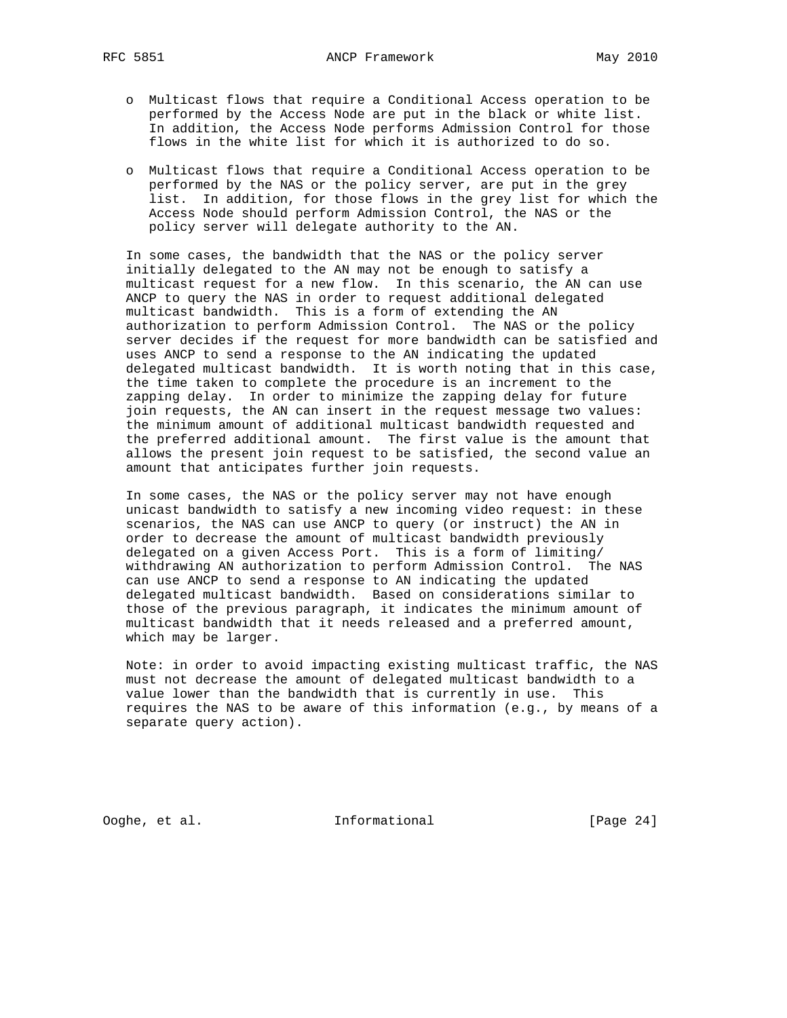- o Multicast flows that require a Conditional Access operation to be performed by the Access Node are put in the black or white list. In addition, the Access Node performs Admission Control for those flows in the white list for which it is authorized to do so.
- o Multicast flows that require a Conditional Access operation to be performed by the NAS or the policy server, are put in the grey list. In addition, for those flows in the grey list for which the Access Node should perform Admission Control, the NAS or the policy server will delegate authority to the AN.

 In some cases, the bandwidth that the NAS or the policy server initially delegated to the AN may not be enough to satisfy a multicast request for a new flow. In this scenario, the AN can use ANCP to query the NAS in order to request additional delegated multicast bandwidth. This is a form of extending the AN authorization to perform Admission Control. The NAS or the policy server decides if the request for more bandwidth can be satisfied and uses ANCP to send a response to the AN indicating the updated delegated multicast bandwidth. It is worth noting that in this case, the time taken to complete the procedure is an increment to the zapping delay. In order to minimize the zapping delay for future join requests, the AN can insert in the request message two values: the minimum amount of additional multicast bandwidth requested and the preferred additional amount. The first value is the amount that allows the present join request to be satisfied, the second value an amount that anticipates further join requests.

 In some cases, the NAS or the policy server may not have enough unicast bandwidth to satisfy a new incoming video request: in these scenarios, the NAS can use ANCP to query (or instruct) the AN in order to decrease the amount of multicast bandwidth previously delegated on a given Access Port. This is a form of limiting/ withdrawing AN authorization to perform Admission Control. The NAS can use ANCP to send a response to AN indicating the updated delegated multicast bandwidth. Based on considerations similar to those of the previous paragraph, it indicates the minimum amount of multicast bandwidth that it needs released and a preferred amount, which may be larger.

 Note: in order to avoid impacting existing multicast traffic, the NAS must not decrease the amount of delegated multicast bandwidth to a value lower than the bandwidth that is currently in use. This requires the NAS to be aware of this information (e.g., by means of a separate query action).

Ooghe, et al. 1nformational [Page 24]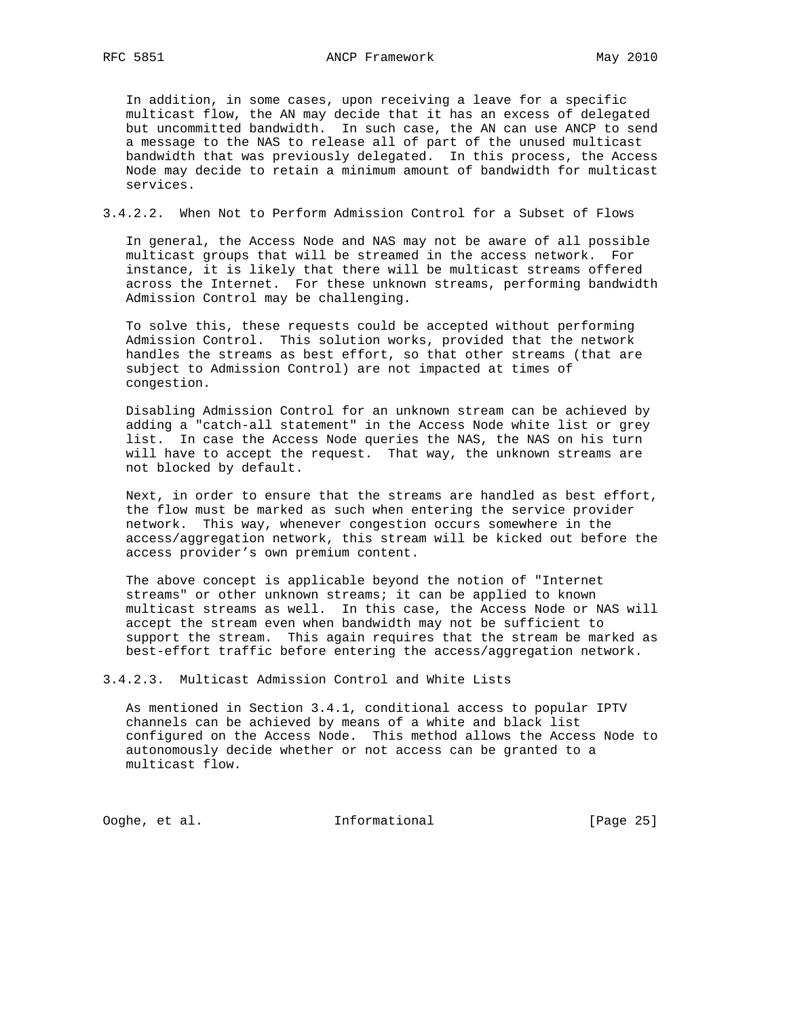In addition, in some cases, upon receiving a leave for a specific multicast flow, the AN may decide that it has an excess of delegated but uncommitted bandwidth. In such case, the AN can use ANCP to send a message to the NAS to release all of part of the unused multicast bandwidth that was previously delegated. In this process, the Access Node may decide to retain a minimum amount of bandwidth for multicast services.

#### 3.4.2.2. When Not to Perform Admission Control for a Subset of Flows

 In general, the Access Node and NAS may not be aware of all possible multicast groups that will be streamed in the access network. For instance, it is likely that there will be multicast streams offered across the Internet. For these unknown streams, performing bandwidth Admission Control may be challenging.

 To solve this, these requests could be accepted without performing Admission Control. This solution works, provided that the network handles the streams as best effort, so that other streams (that are subject to Admission Control) are not impacted at times of congestion.

 Disabling Admission Control for an unknown stream can be achieved by adding a "catch-all statement" in the Access Node white list or grey list. In case the Access Node queries the NAS, the NAS on his turn will have to accept the request. That way, the unknown streams are not blocked by default.

 Next, in order to ensure that the streams are handled as best effort, the flow must be marked as such when entering the service provider network. This way, whenever congestion occurs somewhere in the access/aggregation network, this stream will be kicked out before the access provider's own premium content.

 The above concept is applicable beyond the notion of "Internet streams" or other unknown streams; it can be applied to known multicast streams as well. In this case, the Access Node or NAS will accept the stream even when bandwidth may not be sufficient to support the stream. This again requires that the stream be marked as best-effort traffic before entering the access/aggregation network.

3.4.2.3. Multicast Admission Control and White Lists

 As mentioned in Section 3.4.1, conditional access to popular IPTV channels can be achieved by means of a white and black list configured on the Access Node. This method allows the Access Node to autonomously decide whether or not access can be granted to a multicast flow.

Ooghe, et al. Informational [Page 25]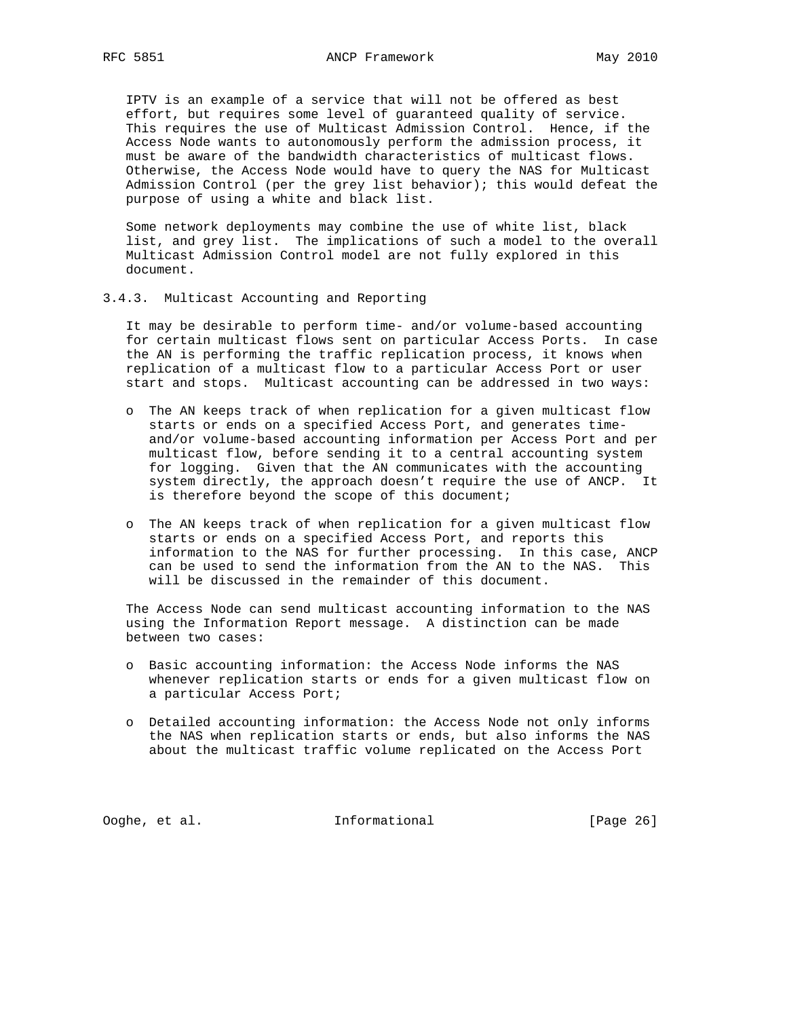IPTV is an example of a service that will not be offered as best effort, but requires some level of guaranteed quality of service. This requires the use of Multicast Admission Control. Hence, if the Access Node wants to autonomously perform the admission process, it must be aware of the bandwidth characteristics of multicast flows. Otherwise, the Access Node would have to query the NAS for Multicast Admission Control (per the grey list behavior); this would defeat the purpose of using a white and black list.

 Some network deployments may combine the use of white list, black list, and grey list. The implications of such a model to the overall Multicast Admission Control model are not fully explored in this document.

3.4.3. Multicast Accounting and Reporting

 It may be desirable to perform time- and/or volume-based accounting for certain multicast flows sent on particular Access Ports. In case the AN is performing the traffic replication process, it knows when replication of a multicast flow to a particular Access Port or user start and stops. Multicast accounting can be addressed in two ways:

- o The AN keeps track of when replication for a given multicast flow starts or ends on a specified Access Port, and generates time and/or volume-based accounting information per Access Port and per multicast flow, before sending it to a central accounting system for logging. Given that the AN communicates with the accounting system directly, the approach doesn't require the use of ANCP. It is therefore beyond the scope of this document;
- o The AN keeps track of when replication for a given multicast flow starts or ends on a specified Access Port, and reports this information to the NAS for further processing. In this case, ANCP can be used to send the information from the AN to the NAS. This will be discussed in the remainder of this document.

 The Access Node can send multicast accounting information to the NAS using the Information Report message. A distinction can be made between two cases:

- o Basic accounting information: the Access Node informs the NAS whenever replication starts or ends for a given multicast flow on a particular Access Port;
- o Detailed accounting information: the Access Node not only informs the NAS when replication starts or ends, but also informs the NAS about the multicast traffic volume replicated on the Access Port

Ooghe, et al. 1nformational [Page 26]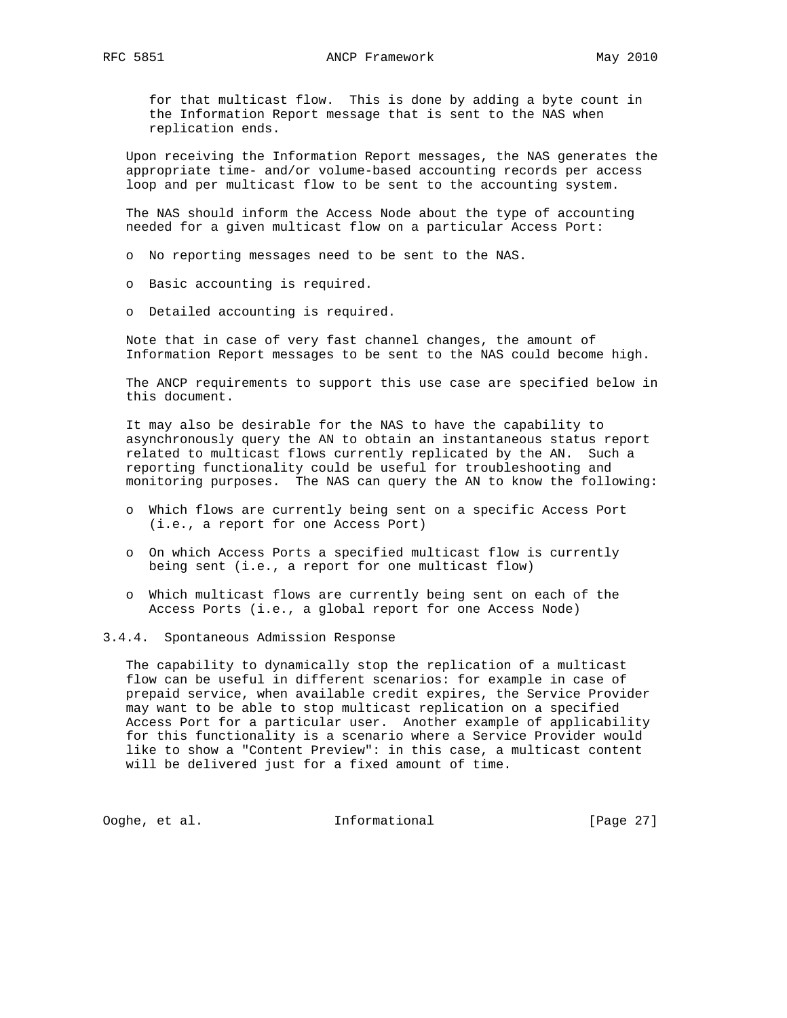for that multicast flow. This is done by adding a byte count in the Information Report message that is sent to the NAS when replication ends.

 Upon receiving the Information Report messages, the NAS generates the appropriate time- and/or volume-based accounting records per access loop and per multicast flow to be sent to the accounting system.

 The NAS should inform the Access Node about the type of accounting needed for a given multicast flow on a particular Access Port:

o No reporting messages need to be sent to the NAS.

- o Basic accounting is required.
- o Detailed accounting is required.

 Note that in case of very fast channel changes, the amount of Information Report messages to be sent to the NAS could become high.

 The ANCP requirements to support this use case are specified below in this document.

 It may also be desirable for the NAS to have the capability to asynchronously query the AN to obtain an instantaneous status report related to multicast flows currently replicated by the AN. Such a reporting functionality could be useful for troubleshooting and monitoring purposes. The NAS can query the AN to know the following:

- o Which flows are currently being sent on a specific Access Port (i.e., a report for one Access Port)
- o On which Access Ports a specified multicast flow is currently being sent (i.e., a report for one multicast flow)
- o Which multicast flows are currently being sent on each of the Access Ports (i.e., a global report for one Access Node)
- 3.4.4. Spontaneous Admission Response

 The capability to dynamically stop the replication of a multicast flow can be useful in different scenarios: for example in case of prepaid service, when available credit expires, the Service Provider may want to be able to stop multicast replication on a specified Access Port for a particular user. Another example of applicability for this functionality is a scenario where a Service Provider would like to show a "Content Preview": in this case, a multicast content will be delivered just for a fixed amount of time.

Ooghe, et al. 1nformational [Page 27]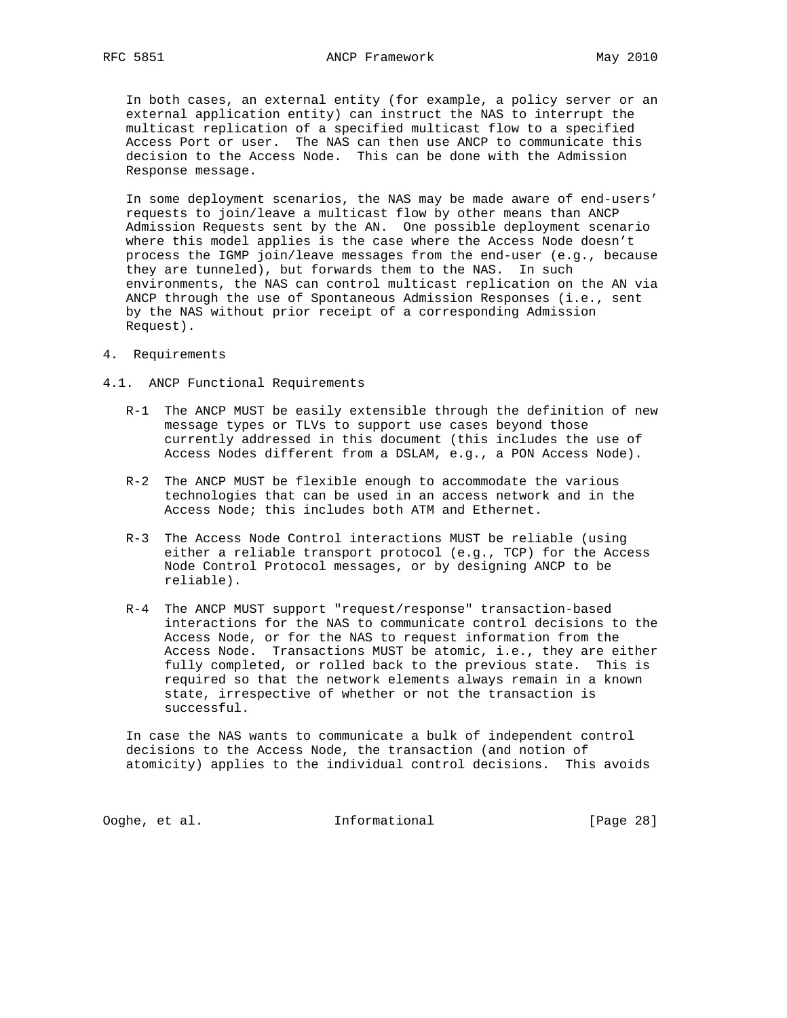In both cases, an external entity (for example, a policy server or an external application entity) can instruct the NAS to interrupt the multicast replication of a specified multicast flow to a specified Access Port or user. The NAS can then use ANCP to communicate this decision to the Access Node. This can be done with the Admission Response message.

 In some deployment scenarios, the NAS may be made aware of end-users' requests to join/leave a multicast flow by other means than ANCP Admission Requests sent by the AN. One possible deployment scenario where this model applies is the case where the Access Node doesn't process the IGMP join/leave messages from the end-user (e.g., because they are tunneled), but forwards them to the NAS. In such environments, the NAS can control multicast replication on the AN via ANCP through the use of Spontaneous Admission Responses (i.e., sent by the NAS without prior receipt of a corresponding Admission Request).

- 4. Requirements
- 4.1. ANCP Functional Requirements
	- R-1 The ANCP MUST be easily extensible through the definition of new message types or TLVs to support use cases beyond those currently addressed in this document (this includes the use of Access Nodes different from a DSLAM, e.g., a PON Access Node).
	- R-2 The ANCP MUST be flexible enough to accommodate the various technologies that can be used in an access network and in the Access Node; this includes both ATM and Ethernet.
	- R-3 The Access Node Control interactions MUST be reliable (using either a reliable transport protocol (e.g., TCP) for the Access Node Control Protocol messages, or by designing ANCP to be reliable).
	- R-4 The ANCP MUST support "request/response" transaction-based interactions for the NAS to communicate control decisions to the Access Node, or for the NAS to request information from the Access Node. Transactions MUST be atomic, i.e., they are either fully completed, or rolled back to the previous state. This is required so that the network elements always remain in a known state, irrespective of whether or not the transaction is successful.

 In case the NAS wants to communicate a bulk of independent control decisions to the Access Node, the transaction (and notion of atomicity) applies to the individual control decisions. This avoids

Ooghe, et al. Informational [Page 28]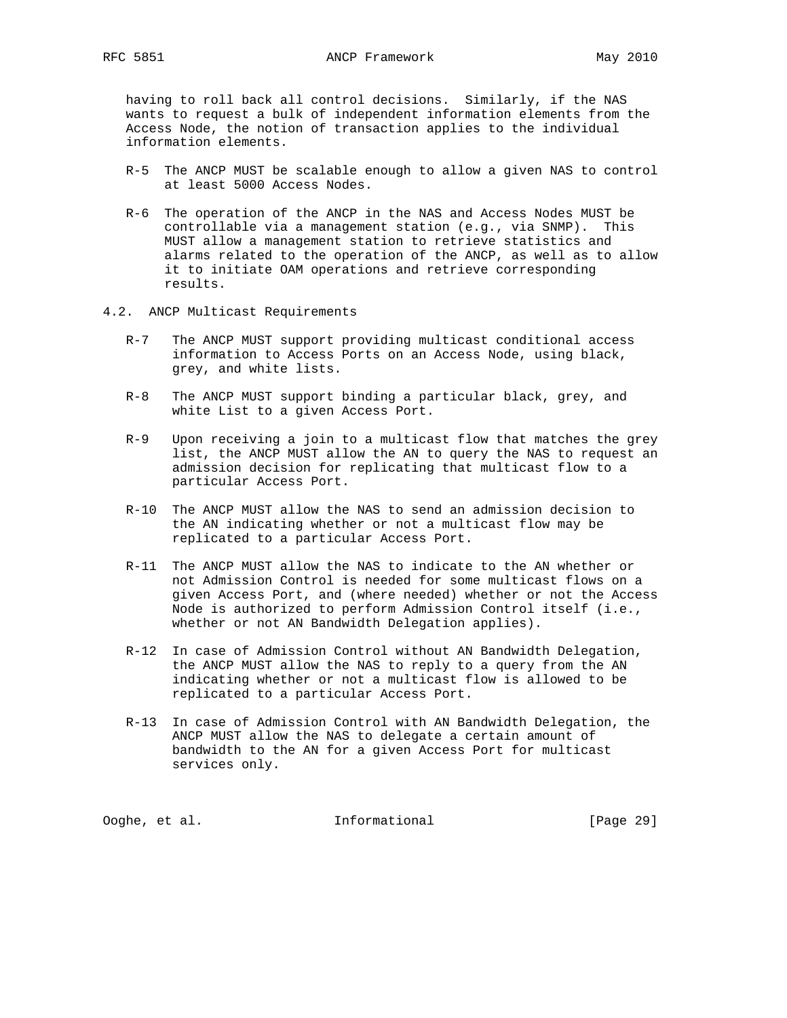having to roll back all control decisions. Similarly, if the NAS wants to request a bulk of independent information elements from the Access Node, the notion of transaction applies to the individual information elements.

- R-5 The ANCP MUST be scalable enough to allow a given NAS to control at least 5000 Access Nodes.
- R-6 The operation of the ANCP in the NAS and Access Nodes MUST be controllable via a management station (e.g., via SNMP). This MUST allow a management station to retrieve statistics and alarms related to the operation of the ANCP, as well as to allow it to initiate OAM operations and retrieve corresponding results.
- 4.2. ANCP Multicast Requirements
	- R-7 The ANCP MUST support providing multicast conditional access information to Access Ports on an Access Node, using black, grey, and white lists.
	- R-8 The ANCP MUST support binding a particular black, grey, and white List to a given Access Port.
	- R-9 Upon receiving a join to a multicast flow that matches the grey list, the ANCP MUST allow the AN to query the NAS to request an admission decision for replicating that multicast flow to a particular Access Port.
	- R-10 The ANCP MUST allow the NAS to send an admission decision to the AN indicating whether or not a multicast flow may be replicated to a particular Access Port.
	- R-11 The ANCP MUST allow the NAS to indicate to the AN whether or not Admission Control is needed for some multicast flows on a given Access Port, and (where needed) whether or not the Access Node is authorized to perform Admission Control itself (i.e., whether or not AN Bandwidth Delegation applies).
	- R-12 In case of Admission Control without AN Bandwidth Delegation, the ANCP MUST allow the NAS to reply to a query from the AN indicating whether or not a multicast flow is allowed to be replicated to a particular Access Port.
	- R-13 In case of Admission Control with AN Bandwidth Delegation, the ANCP MUST allow the NAS to delegate a certain amount of bandwidth to the AN for a given Access Port for multicast services only.

Ooghe, et al. Informational [Page 29]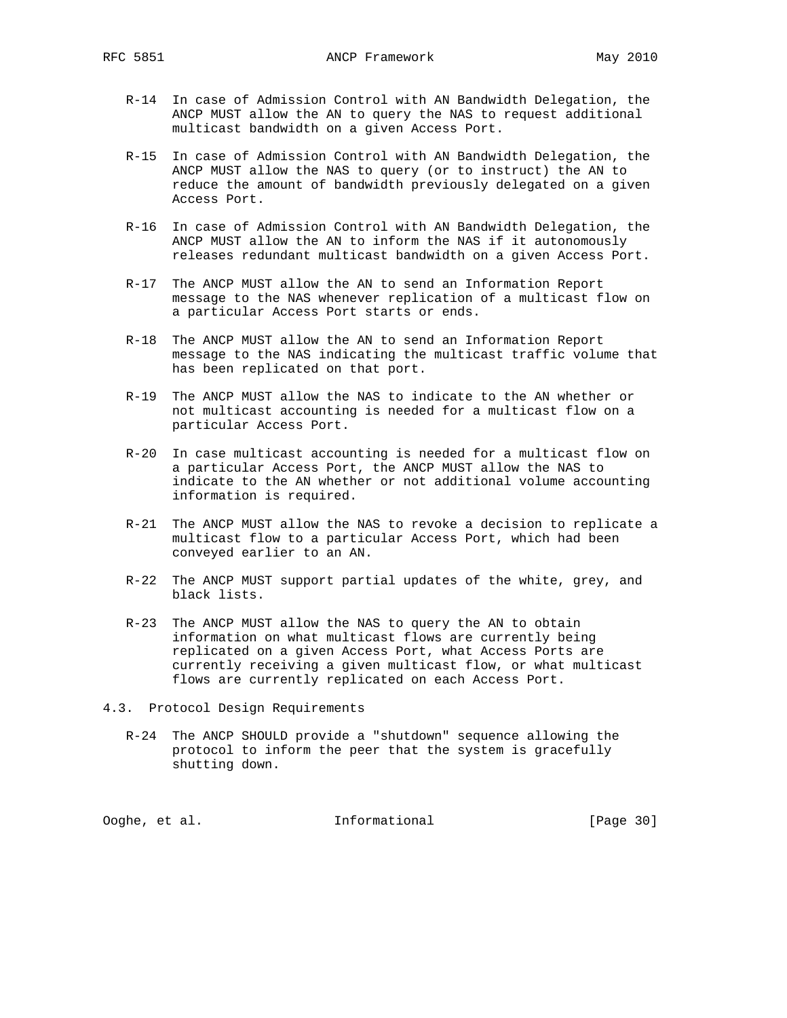- R-14 In case of Admission Control with AN Bandwidth Delegation, the ANCP MUST allow the AN to query the NAS to request additional multicast bandwidth on a given Access Port.
- R-15 In case of Admission Control with AN Bandwidth Delegation, the ANCP MUST allow the NAS to query (or to instruct) the AN to reduce the amount of bandwidth previously delegated on a given Access Port.
- R-16 In case of Admission Control with AN Bandwidth Delegation, the ANCP MUST allow the AN to inform the NAS if it autonomously releases redundant multicast bandwidth on a given Access Port.
- R-17 The ANCP MUST allow the AN to send an Information Report message to the NAS whenever replication of a multicast flow on a particular Access Port starts or ends.
- R-18 The ANCP MUST allow the AN to send an Information Report message to the NAS indicating the multicast traffic volume that has been replicated on that port.
- R-19 The ANCP MUST allow the NAS to indicate to the AN whether or not multicast accounting is needed for a multicast flow on a particular Access Port.
- R-20 In case multicast accounting is needed for a multicast flow on a particular Access Port, the ANCP MUST allow the NAS to indicate to the AN whether or not additional volume accounting information is required.
- R-21 The ANCP MUST allow the NAS to revoke a decision to replicate a multicast flow to a particular Access Port, which had been conveyed earlier to an AN.
- R-22 The ANCP MUST support partial updates of the white, grey, and black lists.
- R-23 The ANCP MUST allow the NAS to query the AN to obtain information on what multicast flows are currently being replicated on a given Access Port, what Access Ports are currently receiving a given multicast flow, or what multicast flows are currently replicated on each Access Port.
- 4.3. Protocol Design Requirements
	- R-24 The ANCP SHOULD provide a "shutdown" sequence allowing the protocol to inform the peer that the system is gracefully shutting down.

Ooghe, et al. Informational [Page 30]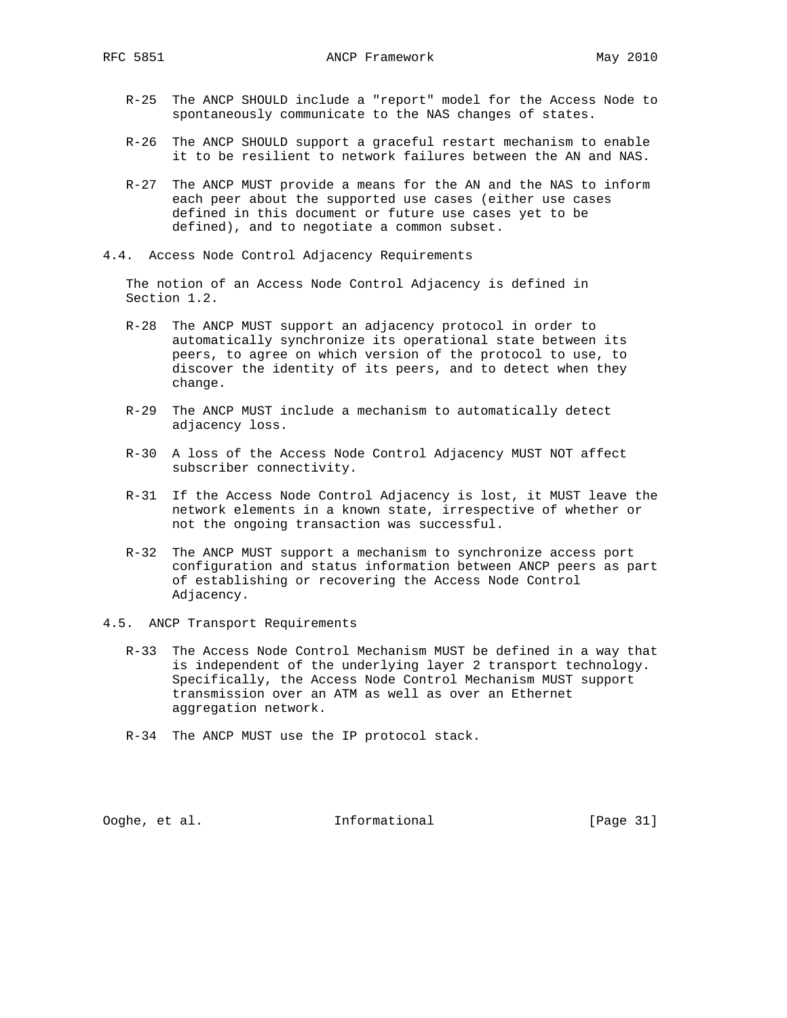- R-25 The ANCP SHOULD include a "report" model for the Access Node to spontaneously communicate to the NAS changes of states.
- R-26 The ANCP SHOULD support a graceful restart mechanism to enable it to be resilient to network failures between the AN and NAS.
- R-27 The ANCP MUST provide a means for the AN and the NAS to inform each peer about the supported use cases (either use cases defined in this document or future use cases yet to be defined), and to negotiate a common subset.
- 4.4. Access Node Control Adjacency Requirements

 The notion of an Access Node Control Adjacency is defined in Section 1.2.

- R-28 The ANCP MUST support an adjacency protocol in order to automatically synchronize its operational state between its peers, to agree on which version of the protocol to use, to discover the identity of its peers, and to detect when they change.
- R-29 The ANCP MUST include a mechanism to automatically detect adjacency loss.
- R-30 A loss of the Access Node Control Adjacency MUST NOT affect subscriber connectivity.
- R-31 If the Access Node Control Adjacency is lost, it MUST leave the network elements in a known state, irrespective of whether or not the ongoing transaction was successful.
- R-32 The ANCP MUST support a mechanism to synchronize access port configuration and status information between ANCP peers as part of establishing or recovering the Access Node Control Adjacency.
- 4.5. ANCP Transport Requirements
	- R-33 The Access Node Control Mechanism MUST be defined in a way that is independent of the underlying layer 2 transport technology. Specifically, the Access Node Control Mechanism MUST support transmission over an ATM as well as over an Ethernet aggregation network.
	- R-34 The ANCP MUST use the IP protocol stack.

Ooghe, et al. Informational [Page 31]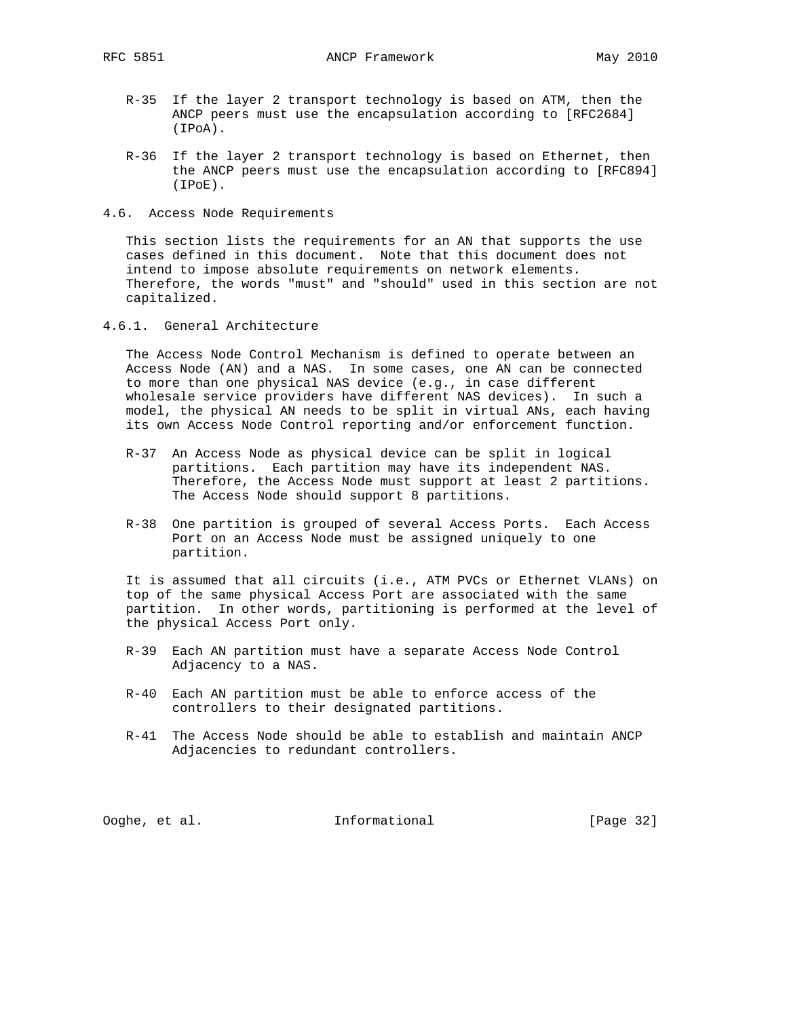- R-35 If the layer 2 transport technology is based on ATM, then the ANCP peers must use the encapsulation according to [RFC2684] (IPoA).
- R-36 If the layer 2 transport technology is based on Ethernet, then the ANCP peers must use the encapsulation according to [RFC894] (IPoE).
- 4.6. Access Node Requirements

 This section lists the requirements for an AN that supports the use cases defined in this document. Note that this document does not intend to impose absolute requirements on network elements. Therefore, the words "must" and "should" used in this section are not capitalized.

4.6.1. General Architecture

 The Access Node Control Mechanism is defined to operate between an Access Node (AN) and a NAS. In some cases, one AN can be connected to more than one physical NAS device (e.g., in case different wholesale service providers have different NAS devices). In such a model, the physical AN needs to be split in virtual ANs, each having its own Access Node Control reporting and/or enforcement function.

- R-37 An Access Node as physical device can be split in logical partitions. Each partition may have its independent NAS. Therefore, the Access Node must support at least 2 partitions. The Access Node should support 8 partitions.
- R-38 One partition is grouped of several Access Ports. Each Access Port on an Access Node must be assigned uniquely to one partition.

 It is assumed that all circuits (i.e., ATM PVCs or Ethernet VLANs) on top of the same physical Access Port are associated with the same partition. In other words, partitioning is performed at the level of the physical Access Port only.

- R-39 Each AN partition must have a separate Access Node Control Adjacency to a NAS.
- R-40 Each AN partition must be able to enforce access of the controllers to their designated partitions.
- R-41 The Access Node should be able to establish and maintain ANCP Adjacencies to redundant controllers.

Ooghe, et al. Informational [Page 32]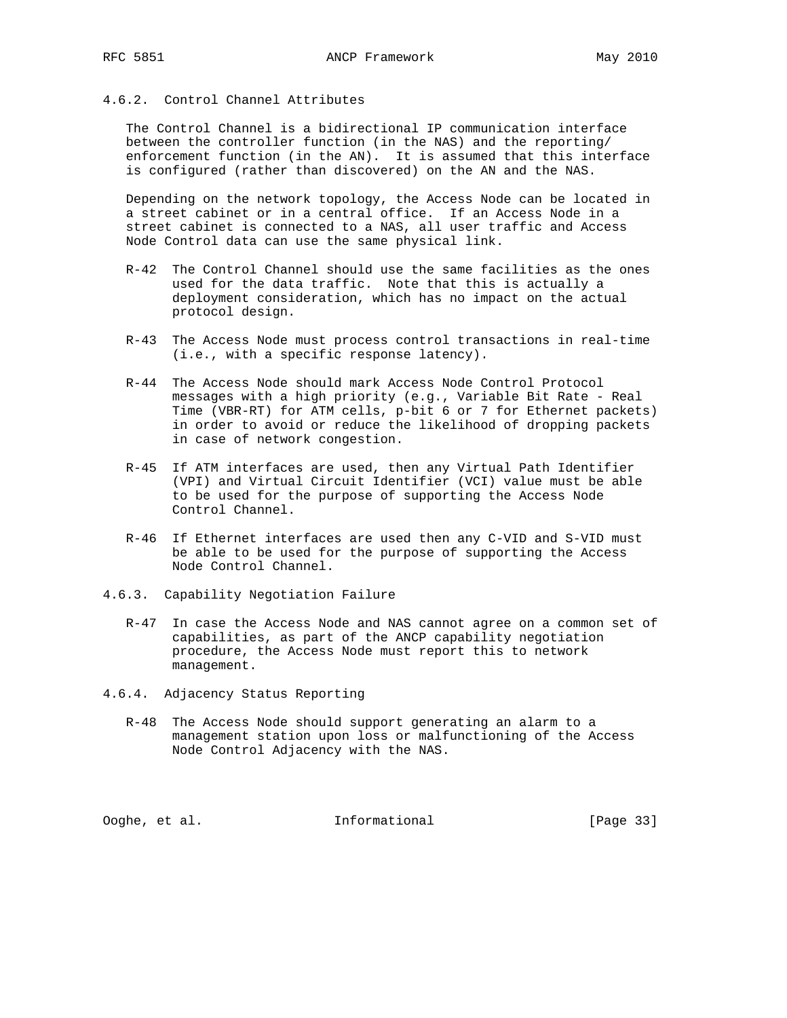## 4.6.2. Control Channel Attributes

 The Control Channel is a bidirectional IP communication interface between the controller function (in the NAS) and the reporting/ enforcement function (in the AN). It is assumed that this interface is configured (rather than discovered) on the AN and the NAS.

 Depending on the network topology, the Access Node can be located in a street cabinet or in a central office. If an Access Node in a street cabinet is connected to a NAS, all user traffic and Access Node Control data can use the same physical link.

- R-42 The Control Channel should use the same facilities as the ones used for the data traffic. Note that this is actually a deployment consideration, which has no impact on the actual protocol design.
- R-43 The Access Node must process control transactions in real-time (i.e., with a specific response latency).
- R-44 The Access Node should mark Access Node Control Protocol messages with a high priority (e.g., Variable Bit Rate - Real Time (VBR-RT) for ATM cells, p-bit 6 or 7 for Ethernet packets) in order to avoid or reduce the likelihood of dropping packets in case of network congestion.
- R-45 If ATM interfaces are used, then any Virtual Path Identifier (VPI) and Virtual Circuit Identifier (VCI) value must be able to be used for the purpose of supporting the Access Node Control Channel.
- R-46 If Ethernet interfaces are used then any C-VID and S-VID must be able to be used for the purpose of supporting the Access Node Control Channel.
- 4.6.3. Capability Negotiation Failure
	- R-47 In case the Access Node and NAS cannot agree on a common set of capabilities, as part of the ANCP capability negotiation procedure, the Access Node must report this to network management.
- 4.6.4. Adjacency Status Reporting
	- R-48 The Access Node should support generating an alarm to a management station upon loss or malfunctioning of the Access Node Control Adjacency with the NAS.

Ooghe, et al. Informational [Page 33]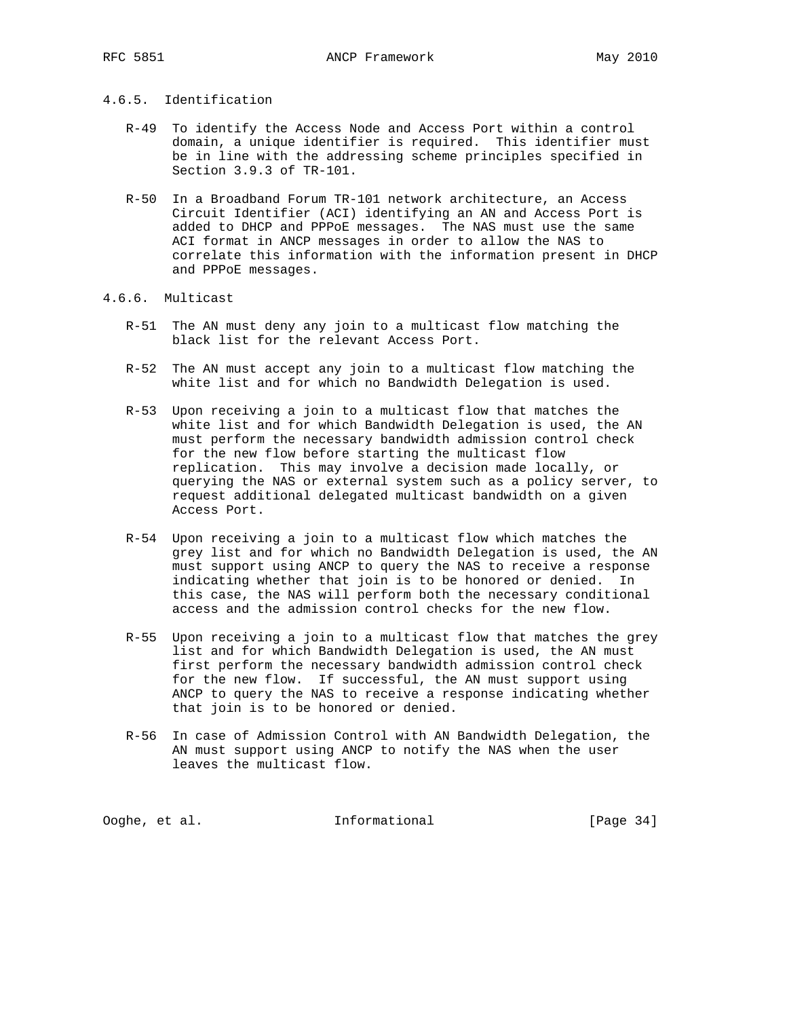#### 4.6.5. Identification

- R-49 To identify the Access Node and Access Port within a control domain, a unique identifier is required. This identifier must be in line with the addressing scheme principles specified in Section 3.9.3 of TR-101.
- R-50 In a Broadband Forum TR-101 network architecture, an Access Circuit Identifier (ACI) identifying an AN and Access Port is added to DHCP and PPPoE messages. The NAS must use the same ACI format in ANCP messages in order to allow the NAS to correlate this information with the information present in DHCP and PPPoE messages.

#### 4.6.6. Multicast

- R-51 The AN must deny any join to a multicast flow matching the black list for the relevant Access Port.
- R-52 The AN must accept any join to a multicast flow matching the white list and for which no Bandwidth Delegation is used.
- R-53 Upon receiving a join to a multicast flow that matches the white list and for which Bandwidth Delegation is used, the AN must perform the necessary bandwidth admission control check for the new flow before starting the multicast flow replication. This may involve a decision made locally, or querying the NAS or external system such as a policy server, to request additional delegated multicast bandwidth on a given Access Port.
- R-54 Upon receiving a join to a multicast flow which matches the grey list and for which no Bandwidth Delegation is used, the AN must support using ANCP to query the NAS to receive a response indicating whether that join is to be honored or denied. In this case, the NAS will perform both the necessary conditional access and the admission control checks for the new flow.
- R-55 Upon receiving a join to a multicast flow that matches the grey list and for which Bandwidth Delegation is used, the AN must first perform the necessary bandwidth admission control check for the new flow. If successful, the AN must support using ANCP to query the NAS to receive a response indicating whether that join is to be honored or denied.
- R-56 In case of Admission Control with AN Bandwidth Delegation, the AN must support using ANCP to notify the NAS when the user leaves the multicast flow.

Ooghe, et al. 1nformational [Page 34]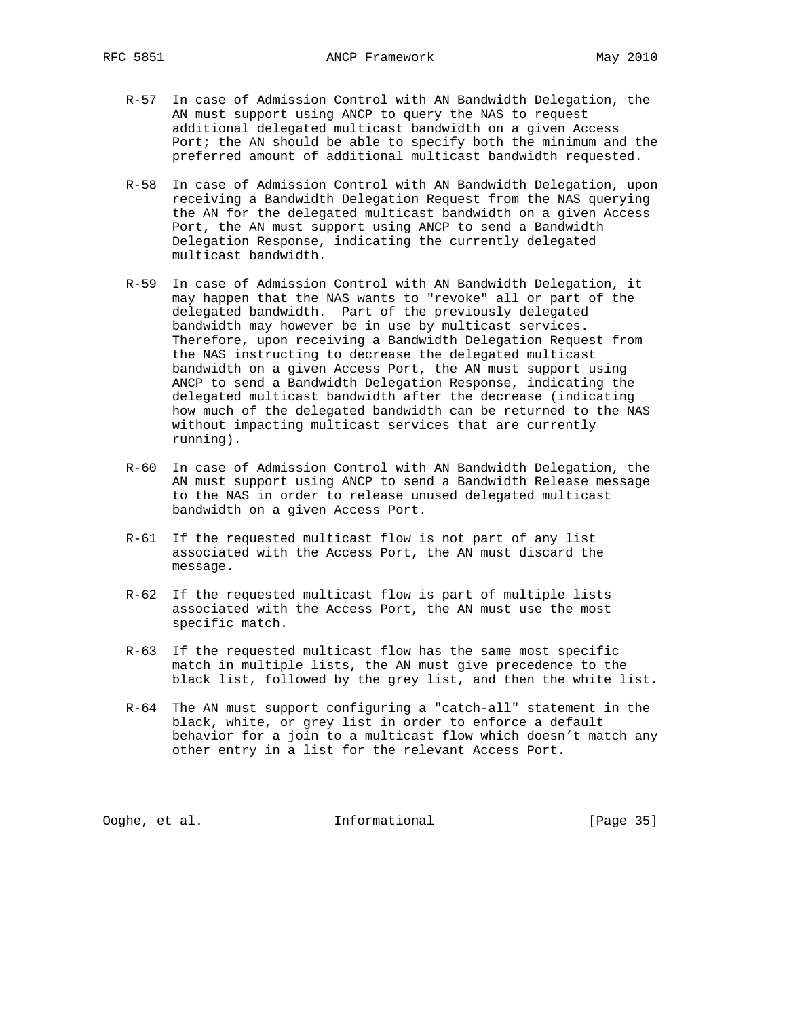- R-57 In case of Admission Control with AN Bandwidth Delegation, the AN must support using ANCP to query the NAS to request additional delegated multicast bandwidth on a given Access Port; the AN should be able to specify both the minimum and the preferred amount of additional multicast bandwidth requested.
- R-58 In case of Admission Control with AN Bandwidth Delegation, upon receiving a Bandwidth Delegation Request from the NAS querying the AN for the delegated multicast bandwidth on a given Access Port, the AN must support using ANCP to send a Bandwidth Delegation Response, indicating the currently delegated multicast bandwidth.
- R-59 In case of Admission Control with AN Bandwidth Delegation, it may happen that the NAS wants to "revoke" all or part of the delegated bandwidth. Part of the previously delegated bandwidth may however be in use by multicast services. Therefore, upon receiving a Bandwidth Delegation Request from the NAS instructing to decrease the delegated multicast bandwidth on a given Access Port, the AN must support using ANCP to send a Bandwidth Delegation Response, indicating the delegated multicast bandwidth after the decrease (indicating how much of the delegated bandwidth can be returned to the NAS without impacting multicast services that are currently running).
- R-60 In case of Admission Control with AN Bandwidth Delegation, the AN must support using ANCP to send a Bandwidth Release message to the NAS in order to release unused delegated multicast bandwidth on a given Access Port.
- R-61 If the requested multicast flow is not part of any list associated with the Access Port, the AN must discard the message.
- R-62 If the requested multicast flow is part of multiple lists associated with the Access Port, the AN must use the most specific match.
- R-63 If the requested multicast flow has the same most specific match in multiple lists, the AN must give precedence to the black list, followed by the grey list, and then the white list.
- R-64 The AN must support configuring a "catch-all" statement in the black, white, or grey list in order to enforce a default behavior for a join to a multicast flow which doesn't match any other entry in a list for the relevant Access Port.

Ooghe, et al. Informational [Page 35]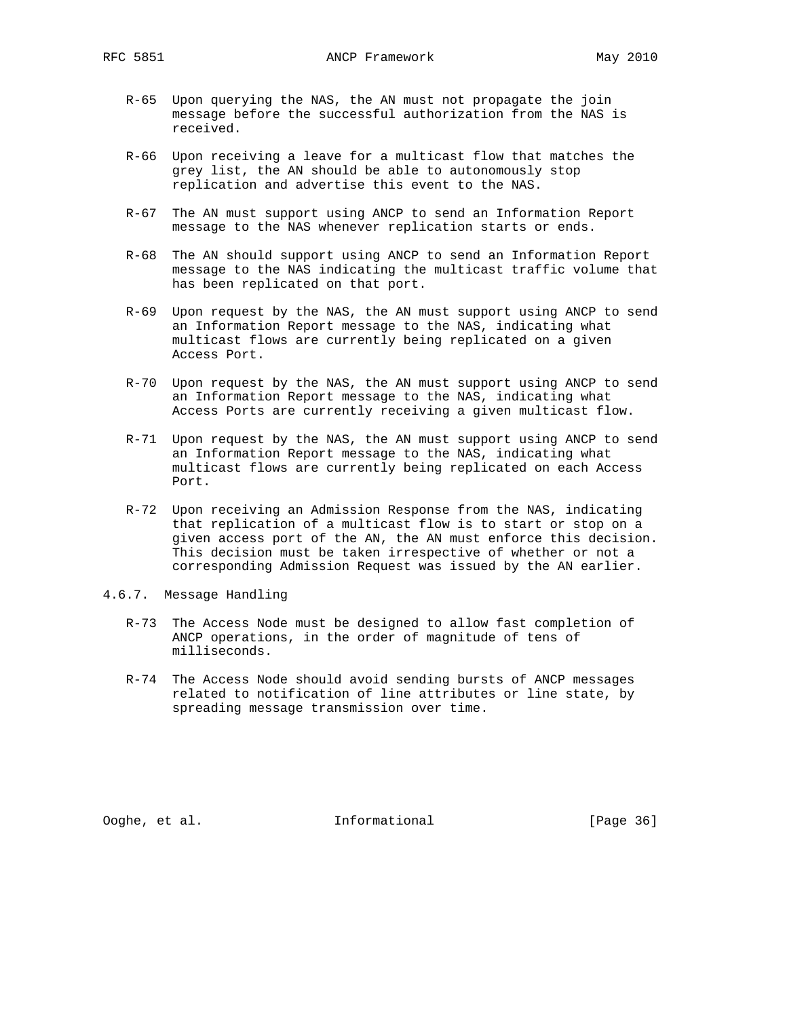- R-65 Upon querying the NAS, the AN must not propagate the join message before the successful authorization from the NAS is received.
- R-66 Upon receiving a leave for a multicast flow that matches the grey list, the AN should be able to autonomously stop replication and advertise this event to the NAS.
- R-67 The AN must support using ANCP to send an Information Report message to the NAS whenever replication starts or ends.
- R-68 The AN should support using ANCP to send an Information Report message to the NAS indicating the multicast traffic volume that has been replicated on that port.
- R-69 Upon request by the NAS, the AN must support using ANCP to send an Information Report message to the NAS, indicating what multicast flows are currently being replicated on a given Access Port.
- R-70 Upon request by the NAS, the AN must support using ANCP to send an Information Report message to the NAS, indicating what Access Ports are currently receiving a given multicast flow.
- R-71 Upon request by the NAS, the AN must support using ANCP to send an Information Report message to the NAS, indicating what multicast flows are currently being replicated on each Access Port.
- R-72 Upon receiving an Admission Response from the NAS, indicating that replication of a multicast flow is to start or stop on a given access port of the AN, the AN must enforce this decision. This decision must be taken irrespective of whether or not a corresponding Admission Request was issued by the AN earlier.
- 4.6.7. Message Handling
	- R-73 The Access Node must be designed to allow fast completion of ANCP operations, in the order of magnitude of tens of milliseconds.
	- R-74 The Access Node should avoid sending bursts of ANCP messages related to notification of line attributes or line state, by spreading message transmission over time.

Ooghe, et al. Informational [Page 36]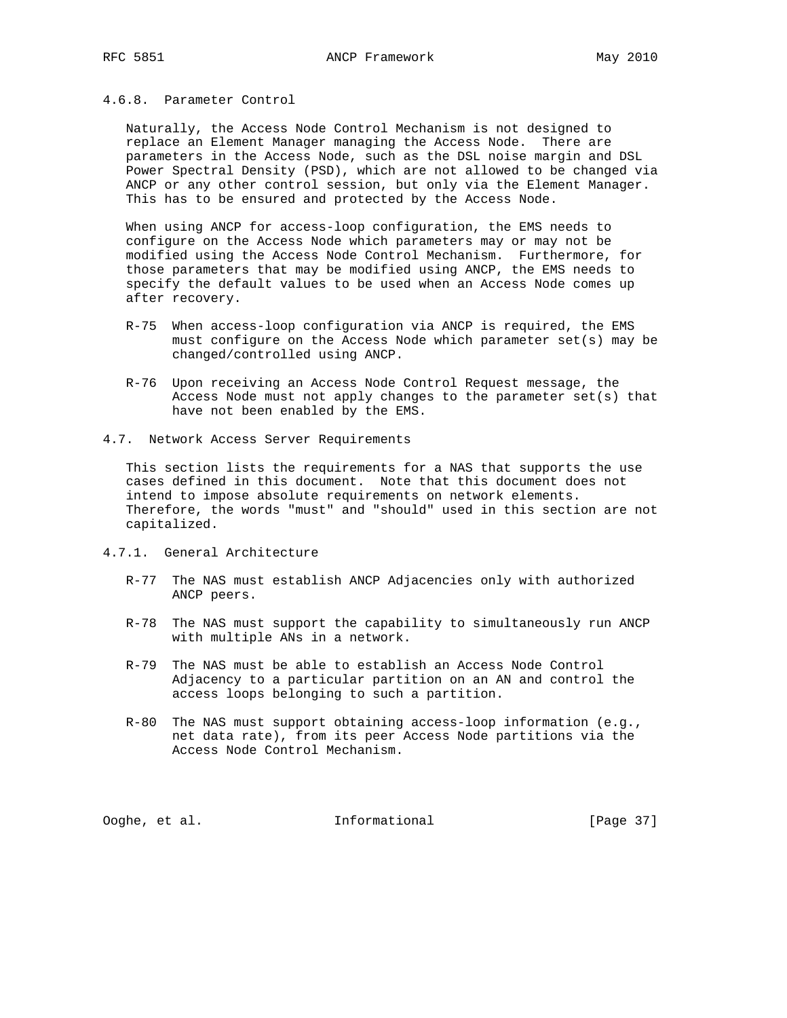Naturally, the Access Node Control Mechanism is not designed to replace an Element Manager managing the Access Node. There are parameters in the Access Node, such as the DSL noise margin and DSL Power Spectral Density (PSD), which are not allowed to be changed via ANCP or any other control session, but only via the Element Manager. This has to be ensured and protected by the Access Node.

 When using ANCP for access-loop configuration, the EMS needs to configure on the Access Node which parameters may or may not be modified using the Access Node Control Mechanism. Furthermore, for those parameters that may be modified using ANCP, the EMS needs to specify the default values to be used when an Access Node comes up after recovery.

- R-75 When access-loop configuration via ANCP is required, the EMS must configure on the Access Node which parameter set(s) may be changed/controlled using ANCP.
- R-76 Upon receiving an Access Node Control Request message, the Access Node must not apply changes to the parameter set(s) that have not been enabled by the EMS.
- 4.7. Network Access Server Requirements

 This section lists the requirements for a NAS that supports the use cases defined in this document. Note that this document does not intend to impose absolute requirements on network elements. Therefore, the words "must" and "should" used in this section are not capitalized.

- 4.7.1. General Architecture
	- R-77 The NAS must establish ANCP Adjacencies only with authorized ANCP peers.
	- R-78 The NAS must support the capability to simultaneously run ANCP with multiple ANs in a network.
	- R-79 The NAS must be able to establish an Access Node Control Adjacency to a particular partition on an AN and control the access loops belonging to such a partition.
	- R-80 The NAS must support obtaining access-loop information (e.g., net data rate), from its peer Access Node partitions via the Access Node Control Mechanism.

Ooghe, et al. Informational [Page 37]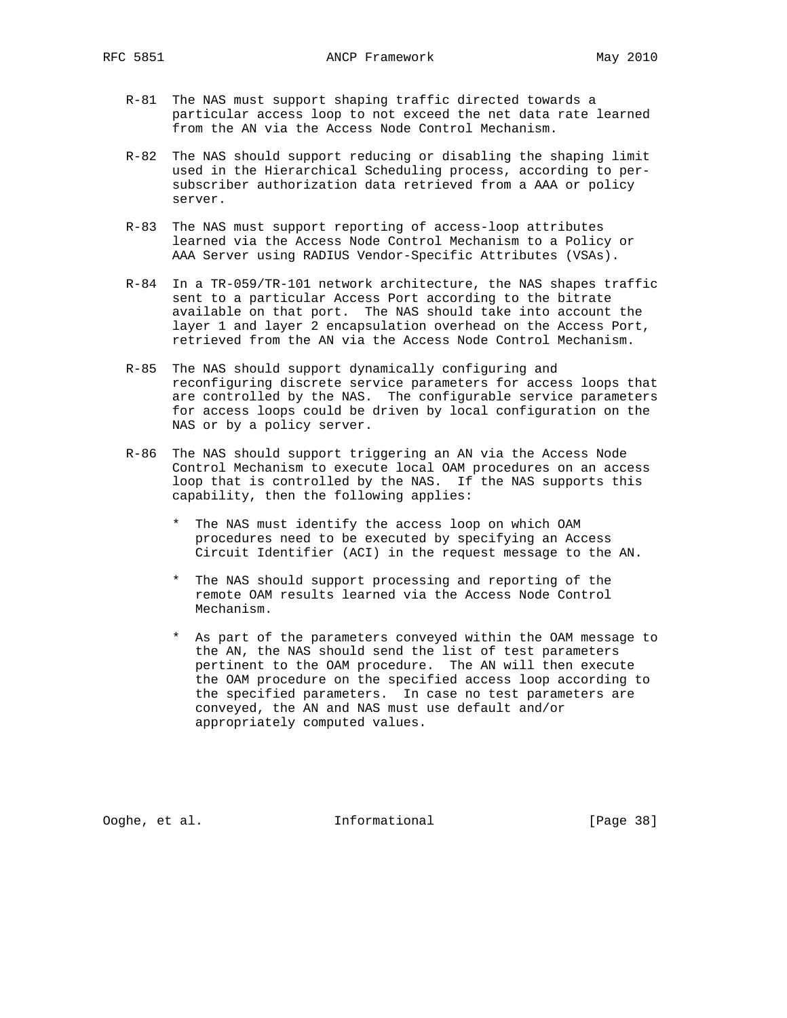- R-81 The NAS must support shaping traffic directed towards a particular access loop to not exceed the net data rate learned from the AN via the Access Node Control Mechanism.
- R-82 The NAS should support reducing or disabling the shaping limit used in the Hierarchical Scheduling process, according to per subscriber authorization data retrieved from a AAA or policy server.
- R-83 The NAS must support reporting of access-loop attributes learned via the Access Node Control Mechanism to a Policy or AAA Server using RADIUS Vendor-Specific Attributes (VSAs).
- R-84 In a TR-059/TR-101 network architecture, the NAS shapes traffic sent to a particular Access Port according to the bitrate available on that port. The NAS should take into account the layer 1 and layer 2 encapsulation overhead on the Access Port, retrieved from the AN via the Access Node Control Mechanism.
- R-85 The NAS should support dynamically configuring and reconfiguring discrete service parameters for access loops that are controlled by the NAS. The configurable service parameters for access loops could be driven by local configuration on the NAS or by a policy server.
- R-86 The NAS should support triggering an AN via the Access Node Control Mechanism to execute local OAM procedures on an access loop that is controlled by the NAS. If the NAS supports this capability, then the following applies:
	- \* The NAS must identify the access loop on which OAM procedures need to be executed by specifying an Access Circuit Identifier (ACI) in the request message to the AN.
	- \* The NAS should support processing and reporting of the remote OAM results learned via the Access Node Control Mechanism.
	- \* As part of the parameters conveyed within the OAM message to the AN, the NAS should send the list of test parameters pertinent to the OAM procedure. The AN will then execute the OAM procedure on the specified access loop according to the specified parameters. In case no test parameters are conveyed, the AN and NAS must use default and/or appropriately computed values.

Ooghe, et al. Informational [Page 38]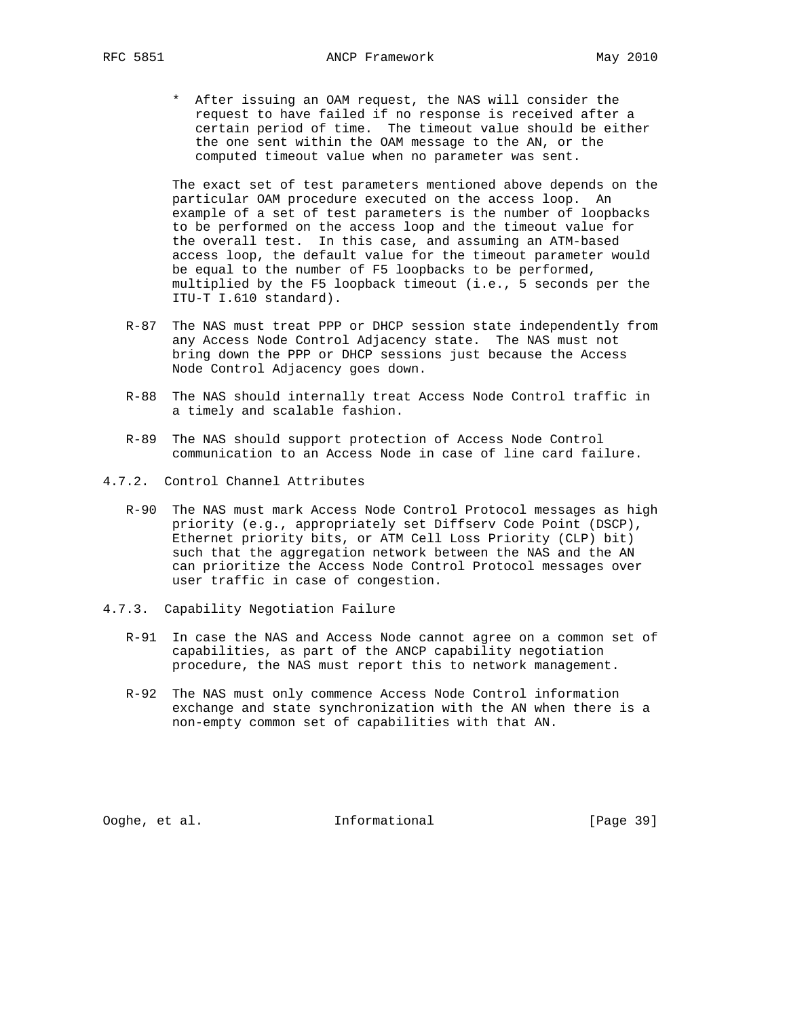\* After issuing an OAM request, the NAS will consider the request to have failed if no response is received after a certain period of time. The timeout value should be either the one sent within the OAM message to the AN, or the computed timeout value when no parameter was sent.

 The exact set of test parameters mentioned above depends on the particular OAM procedure executed on the access loop. An example of a set of test parameters is the number of loopbacks to be performed on the access loop and the timeout value for the overall test. In this case, and assuming an ATM-based access loop, the default value for the timeout parameter would be equal to the number of F5 loopbacks to be performed, multiplied by the F5 loopback timeout (i.e., 5 seconds per the ITU-T I.610 standard).

- R-87 The NAS must treat PPP or DHCP session state independently from any Access Node Control Adjacency state. The NAS must not bring down the PPP or DHCP sessions just because the Access Node Control Adjacency goes down.
- R-88 The NAS should internally treat Access Node Control traffic in a timely and scalable fashion.
- R-89 The NAS should support protection of Access Node Control communication to an Access Node in case of line card failure.
- 4.7.2. Control Channel Attributes
	- R-90 The NAS must mark Access Node Control Protocol messages as high priority (e.g., appropriately set Diffserv Code Point (DSCP), Ethernet priority bits, or ATM Cell Loss Priority (CLP) bit) such that the aggregation network between the NAS and the AN can prioritize the Access Node Control Protocol messages over user traffic in case of congestion.
- 4.7.3. Capability Negotiation Failure
	- R-91 In case the NAS and Access Node cannot agree on a common set of capabilities, as part of the ANCP capability negotiation procedure, the NAS must report this to network management.
	- R-92 The NAS must only commence Access Node Control information exchange and state synchronization with the AN when there is a non-empty common set of capabilities with that AN.

Ooghe, et al. Informational [Page 39]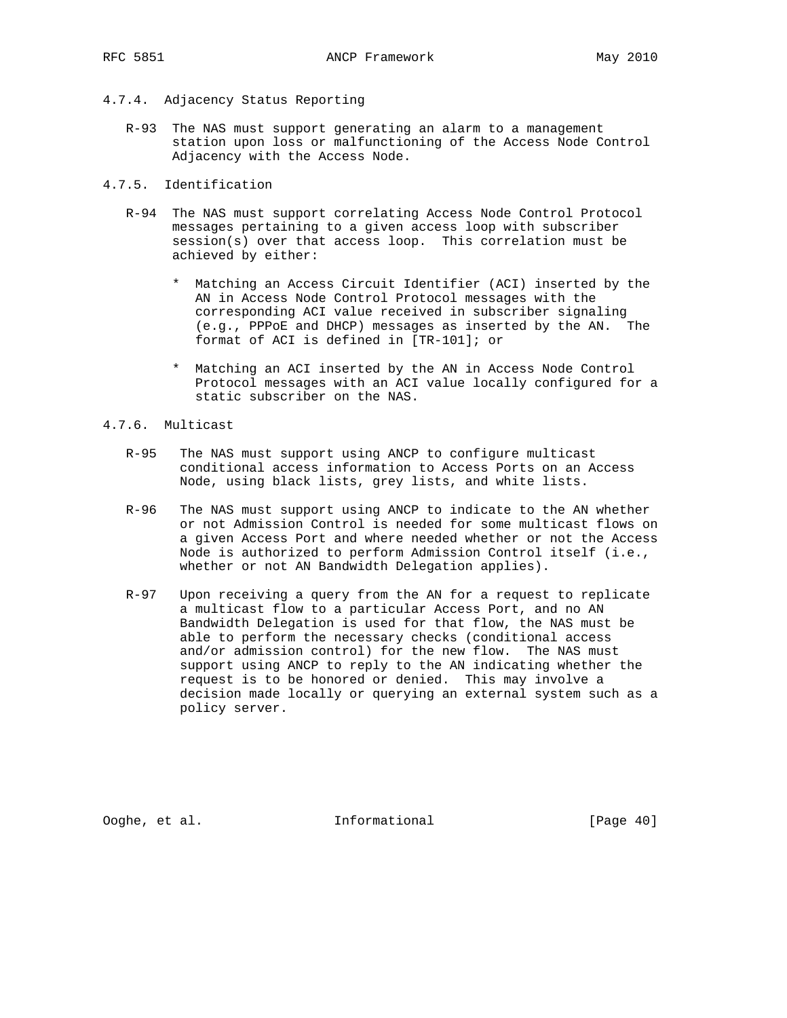- 4.7.4. Adjacency Status Reporting
	- R-93 The NAS must support generating an alarm to a management station upon loss or malfunctioning of the Access Node Control Adjacency with the Access Node.
- 4.7.5. Identification
	- R-94 The NAS must support correlating Access Node Control Protocol messages pertaining to a given access loop with subscriber session(s) over that access loop. This correlation must be achieved by either:
		- \* Matching an Access Circuit Identifier (ACI) inserted by the AN in Access Node Control Protocol messages with the corresponding ACI value received in subscriber signaling (e.g., PPPoE and DHCP) messages as inserted by the AN. The format of ACI is defined in [TR-101]; or
		- \* Matching an ACI inserted by the AN in Access Node Control Protocol messages with an ACI value locally configured for a static subscriber on the NAS.
- 4.7.6. Multicast
	- R-95 The NAS must support using ANCP to configure multicast conditional access information to Access Ports on an Access Node, using black lists, grey lists, and white lists.
	- R-96 The NAS must support using ANCP to indicate to the AN whether or not Admission Control is needed for some multicast flows on a given Access Port and where needed whether or not the Access Node is authorized to perform Admission Control itself (i.e., whether or not AN Bandwidth Delegation applies).
	- R-97 Upon receiving a query from the AN for a request to replicate a multicast flow to a particular Access Port, and no AN Bandwidth Delegation is used for that flow, the NAS must be able to perform the necessary checks (conditional access and/or admission control) for the new flow. The NAS must support using ANCP to reply to the AN indicating whether the request is to be honored or denied. This may involve a decision made locally or querying an external system such as a policy server.

Ooghe, et al. Informational [Page 40]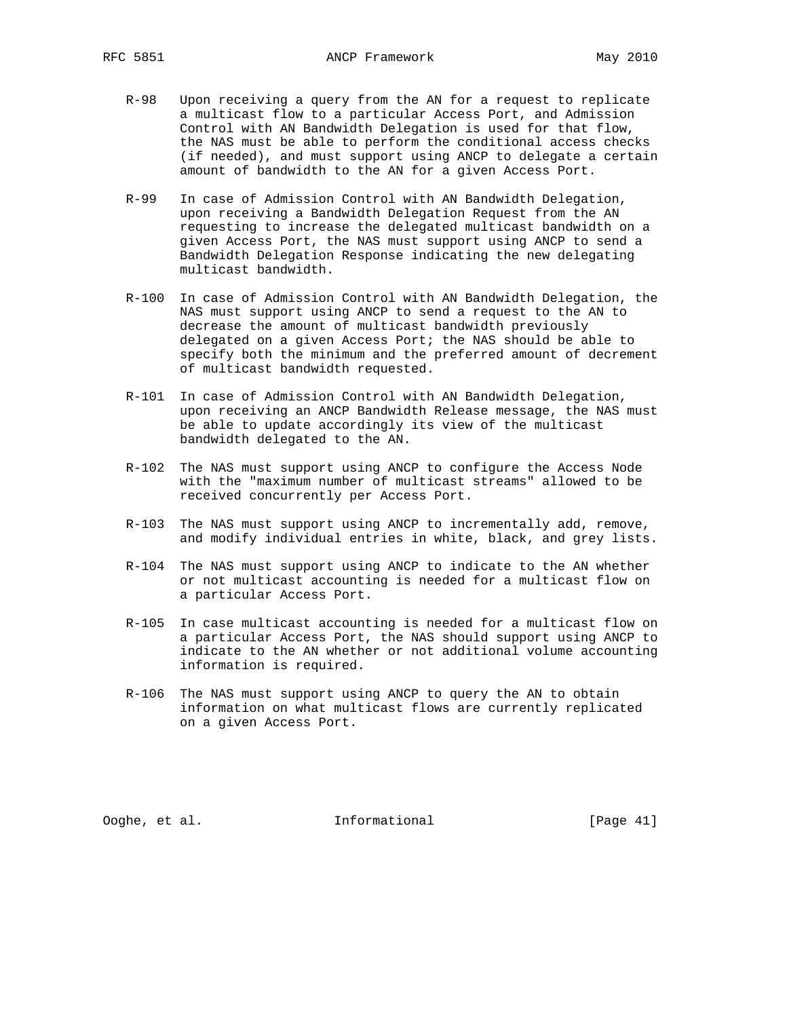- R-98 Upon receiving a query from the AN for a request to replicate a multicast flow to a particular Access Port, and Admission Control with AN Bandwidth Delegation is used for that flow, the NAS must be able to perform the conditional access checks (if needed), and must support using ANCP to delegate a certain amount of bandwidth to the AN for a given Access Port.
- R-99 In case of Admission Control with AN Bandwidth Delegation, upon receiving a Bandwidth Delegation Request from the AN requesting to increase the delegated multicast bandwidth on a given Access Port, the NAS must support using ANCP to send a Bandwidth Delegation Response indicating the new delegating multicast bandwidth.
- R-100 In case of Admission Control with AN Bandwidth Delegation, the NAS must support using ANCP to send a request to the AN to decrease the amount of multicast bandwidth previously delegated on a given Access Port; the NAS should be able to specify both the minimum and the preferred amount of decrement of multicast bandwidth requested.
- R-101 In case of Admission Control with AN Bandwidth Delegation, upon receiving an ANCP Bandwidth Release message, the NAS must be able to update accordingly its view of the multicast bandwidth delegated to the AN.
- R-102 The NAS must support using ANCP to configure the Access Node with the "maximum number of multicast streams" allowed to be received concurrently per Access Port.
- R-103 The NAS must support using ANCP to incrementally add, remove, and modify individual entries in white, black, and grey lists.
- R-104 The NAS must support using ANCP to indicate to the AN whether or not multicast accounting is needed for a multicast flow on a particular Access Port.
- R-105 In case multicast accounting is needed for a multicast flow on a particular Access Port, the NAS should support using ANCP to indicate to the AN whether or not additional volume accounting information is required.
- R-106 The NAS must support using ANCP to query the AN to obtain information on what multicast flows are currently replicated on a given Access Port.

Ooghe, et al. Informational [Page 41]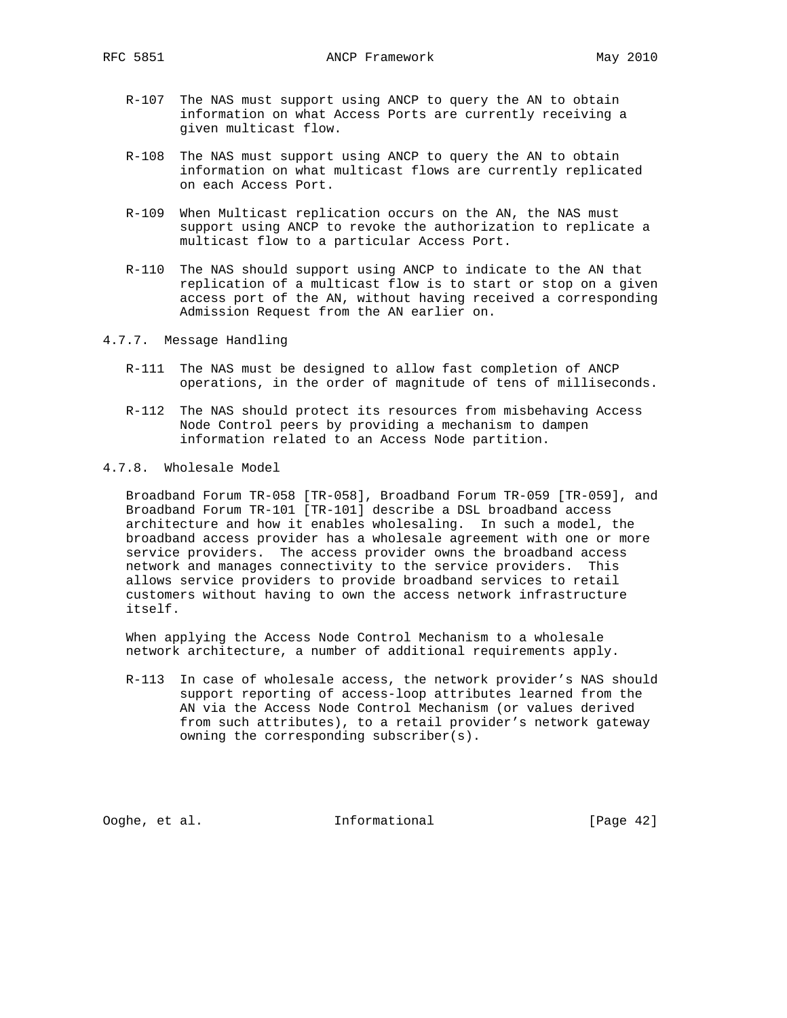- R-107 The NAS must support using ANCP to query the AN to obtain information on what Access Ports are currently receiving a given multicast flow.
- R-108 The NAS must support using ANCP to query the AN to obtain information on what multicast flows are currently replicated on each Access Port.
- R-109 When Multicast replication occurs on the AN, the NAS must support using ANCP to revoke the authorization to replicate a multicast flow to a particular Access Port.
- R-110 The NAS should support using ANCP to indicate to the AN that replication of a multicast flow is to start or stop on a given access port of the AN, without having received a corresponding Admission Request from the AN earlier on.
- 4.7.7. Message Handling
	- R-111 The NAS must be designed to allow fast completion of ANCP operations, in the order of magnitude of tens of milliseconds.
	- R-112 The NAS should protect its resources from misbehaving Access Node Control peers by providing a mechanism to dampen information related to an Access Node partition.
- 4.7.8. Wholesale Model

 Broadband Forum TR-058 [TR-058], Broadband Forum TR-059 [TR-059], and Broadband Forum TR-101 [TR-101] describe a DSL broadband access architecture and how it enables wholesaling. In such a model, the broadband access provider has a wholesale agreement with one or more service providers. The access provider owns the broadband access network and manages connectivity to the service providers. This allows service providers to provide broadband services to retail customers without having to own the access network infrastructure itself.

 When applying the Access Node Control Mechanism to a wholesale network architecture, a number of additional requirements apply.

 R-113 In case of wholesale access, the network provider's NAS should support reporting of access-loop attributes learned from the AN via the Access Node Control Mechanism (or values derived from such attributes), to a retail provider's network gateway owning the corresponding subscriber(s).

Ooghe, et al. Informational [Page 42]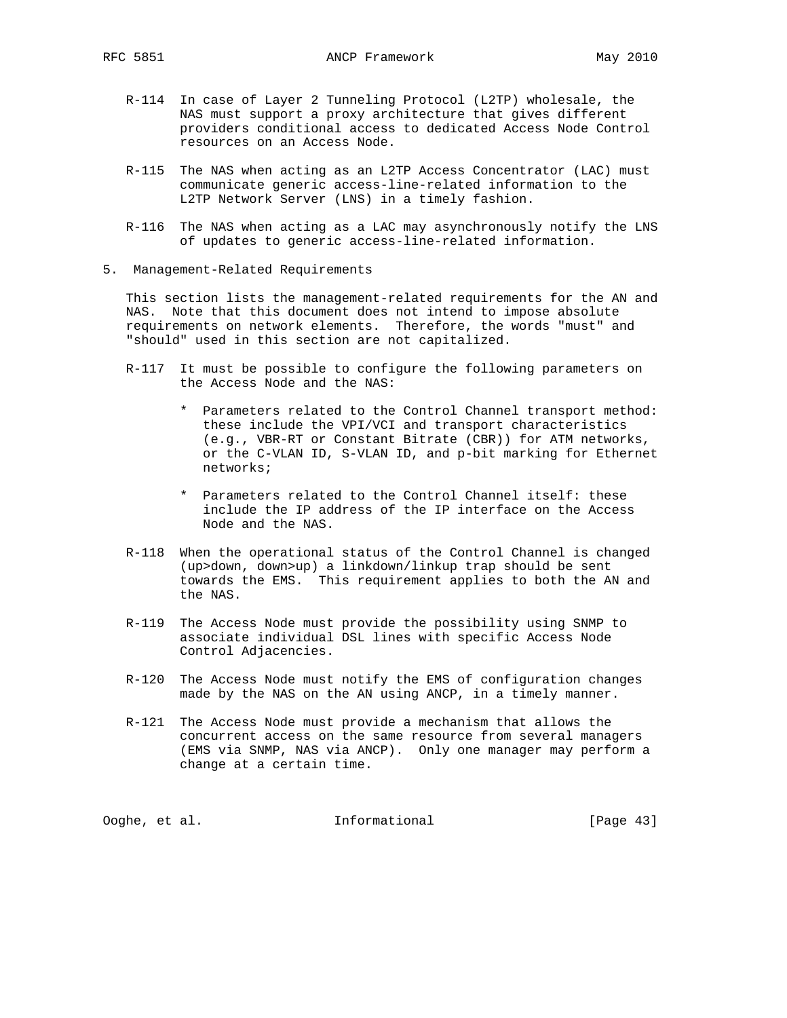- R-114 In case of Layer 2 Tunneling Protocol (L2TP) wholesale, the NAS must support a proxy architecture that gives different providers conditional access to dedicated Access Node Control resources on an Access Node.
- R-115 The NAS when acting as an L2TP Access Concentrator (LAC) must communicate generic access-line-related information to the L2TP Network Server (LNS) in a timely fashion.
- R-116 The NAS when acting as a LAC may asynchronously notify the LNS of updates to generic access-line-related information.
- 5. Management-Related Requirements

 This section lists the management-related requirements for the AN and NAS. Note that this document does not intend to impose absolute requirements on network elements. Therefore, the words "must" and "should" used in this section are not capitalized.

- R-117 It must be possible to configure the following parameters on the Access Node and the NAS:
	- \* Parameters related to the Control Channel transport method: these include the VPI/VCI and transport characteristics (e.g., VBR-RT or Constant Bitrate (CBR)) for ATM networks, or the C-VLAN ID, S-VLAN ID, and p-bit marking for Ethernet networks;
	- \* Parameters related to the Control Channel itself: these include the IP address of the IP interface on the Access Node and the NAS.
- R-118 When the operational status of the Control Channel is changed (up>down, down>up) a linkdown/linkup trap should be sent towards the EMS. This requirement applies to both the AN and the NAS.
- R-119 The Access Node must provide the possibility using SNMP to associate individual DSL lines with specific Access Node Control Adjacencies.
- R-120 The Access Node must notify the EMS of configuration changes made by the NAS on the AN using ANCP, in a timely manner.
- R-121 The Access Node must provide a mechanism that allows the concurrent access on the same resource from several managers (EMS via SNMP, NAS via ANCP). Only one manager may perform a change at a certain time.

Ooghe, et al. Informational [Page 43]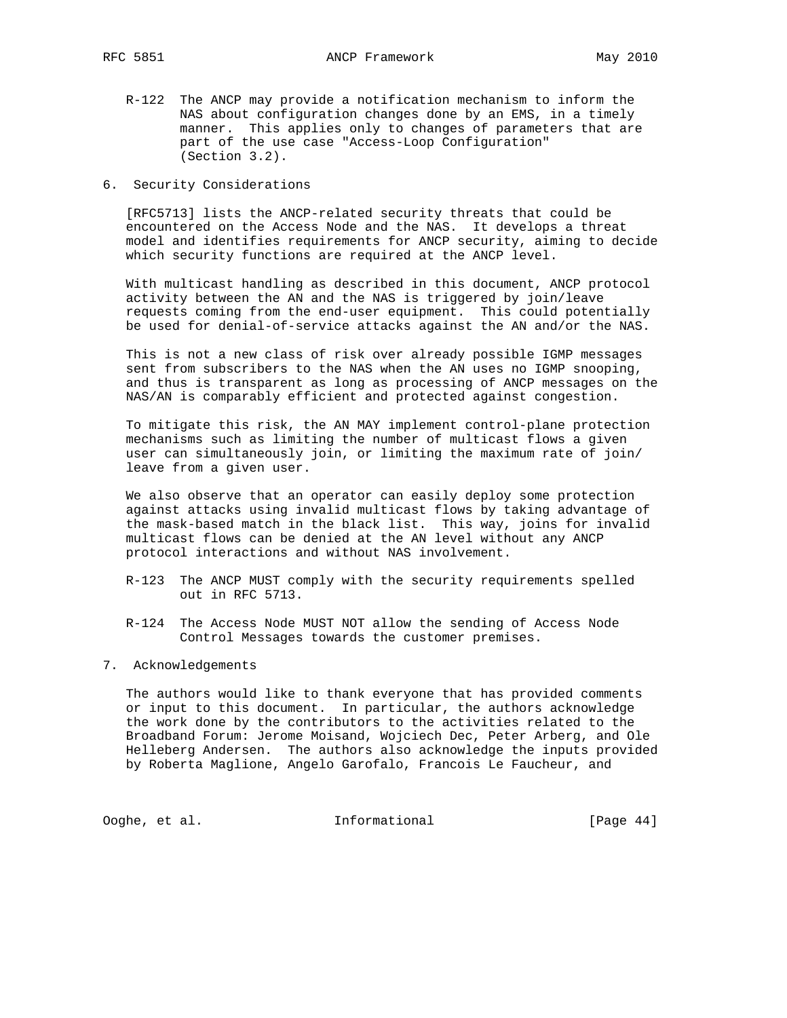- R-122 The ANCP may provide a notification mechanism to inform the NAS about configuration changes done by an EMS, in a timely manner. This applies only to changes of parameters that are part of the use case "Access-Loop Configuration" (Section 3.2).
- 6. Security Considerations

 [RFC5713] lists the ANCP-related security threats that could be encountered on the Access Node and the NAS. It develops a threat model and identifies requirements for ANCP security, aiming to decide which security functions are required at the ANCP level.

 With multicast handling as described in this document, ANCP protocol activity between the AN and the NAS is triggered by join/leave requests coming from the end-user equipment. This could potentially be used for denial-of-service attacks against the AN and/or the NAS.

 This is not a new class of risk over already possible IGMP messages sent from subscribers to the NAS when the AN uses no IGMP snooping, and thus is transparent as long as processing of ANCP messages on the NAS/AN is comparably efficient and protected against congestion.

 To mitigate this risk, the AN MAY implement control-plane protection mechanisms such as limiting the number of multicast flows a given user can simultaneously join, or limiting the maximum rate of join/ leave from a given user.

 We also observe that an operator can easily deploy some protection against attacks using invalid multicast flows by taking advantage of the mask-based match in the black list. This way, joins for invalid multicast flows can be denied at the AN level without any ANCP protocol interactions and without NAS involvement.

- R-123 The ANCP MUST comply with the security requirements spelled out in RFC 5713.
- R-124 The Access Node MUST NOT allow the sending of Access Node Control Messages towards the customer premises.
- 7. Acknowledgements

 The authors would like to thank everyone that has provided comments or input to this document. In particular, the authors acknowledge the work done by the contributors to the activities related to the Broadband Forum: Jerome Moisand, Wojciech Dec, Peter Arberg, and Ole Helleberg Andersen. The authors also acknowledge the inputs provided by Roberta Maglione, Angelo Garofalo, Francois Le Faucheur, and

Ooghe, et al. 1nformational [Page 44]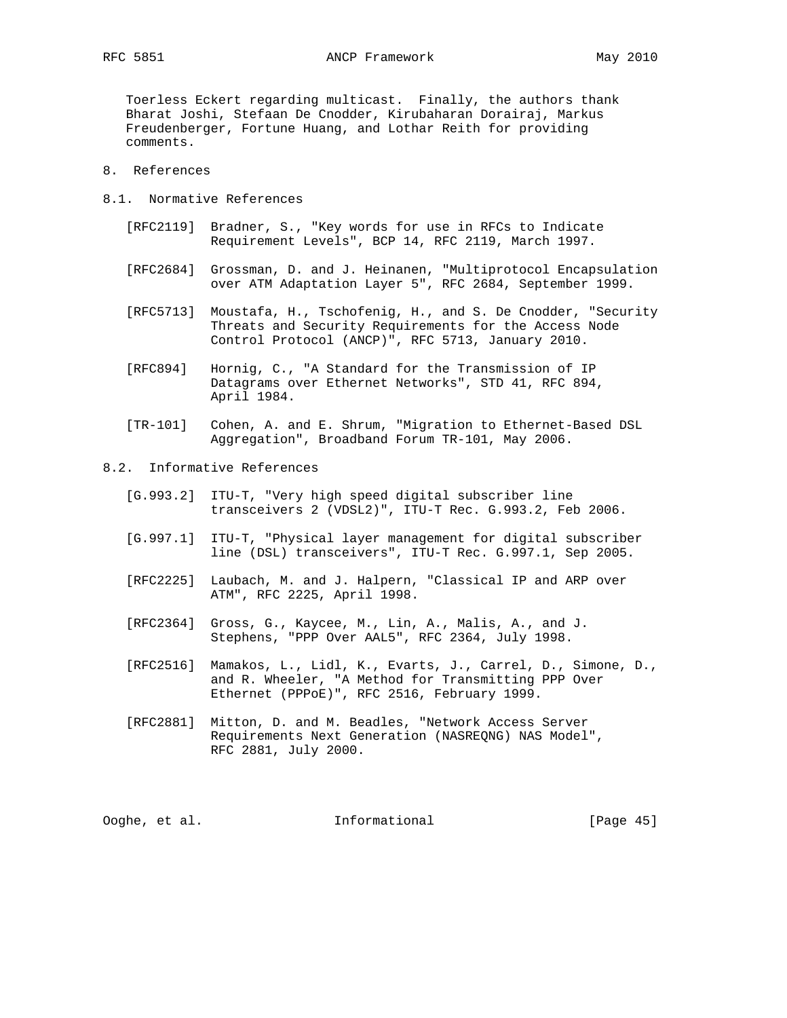Toerless Eckert regarding multicast. Finally, the authors thank Bharat Joshi, Stefaan De Cnodder, Kirubaharan Dorairaj, Markus Freudenberger, Fortune Huang, and Lothar Reith for providing comments.

- 8. References
- 8.1. Normative References
	- [RFC2119] Bradner, S., "Key words for use in RFCs to Indicate Requirement Levels", BCP 14, RFC 2119, March 1997.
	- [RFC2684] Grossman, D. and J. Heinanen, "Multiprotocol Encapsulation over ATM Adaptation Layer 5", RFC 2684, September 1999.
	- [RFC5713] Moustafa, H., Tschofenig, H., and S. De Cnodder, "Security Threats and Security Requirements for the Access Node Control Protocol (ANCP)", RFC 5713, January 2010.
	- [RFC894] Hornig, C., "A Standard for the Transmission of IP Datagrams over Ethernet Networks", STD 41, RFC 894, April 1984.
	- [TR-101] Cohen, A. and E. Shrum, "Migration to Ethernet-Based DSL Aggregation", Broadband Forum TR-101, May 2006.
- 8.2. Informative References
	- [G.993.2] ITU-T, "Very high speed digital subscriber line transceivers 2 (VDSL2)", ITU-T Rec. G.993.2, Feb 2006.
	- [G.997.1] ITU-T, "Physical layer management for digital subscriber line (DSL) transceivers", ITU-T Rec. G.997.1, Sep 2005.
	- [RFC2225] Laubach, M. and J. Halpern, "Classical IP and ARP over ATM", RFC 2225, April 1998.
	- [RFC2364] Gross, G., Kaycee, M., Lin, A., Malis, A., and J. Stephens, "PPP Over AAL5", RFC 2364, July 1998.
	- [RFC2516] Mamakos, L., Lidl, K., Evarts, J., Carrel, D., Simone, D., and R. Wheeler, "A Method for Transmitting PPP Over Ethernet (PPPoE)", RFC 2516, February 1999.
	- [RFC2881] Mitton, D. and M. Beadles, "Network Access Server Requirements Next Generation (NASREQNG) NAS Model", RFC 2881, July 2000.

| Informational<br>Ooghe, et al. | [Page $45$ ] |  |  |
|--------------------------------|--------------|--|--|
|--------------------------------|--------------|--|--|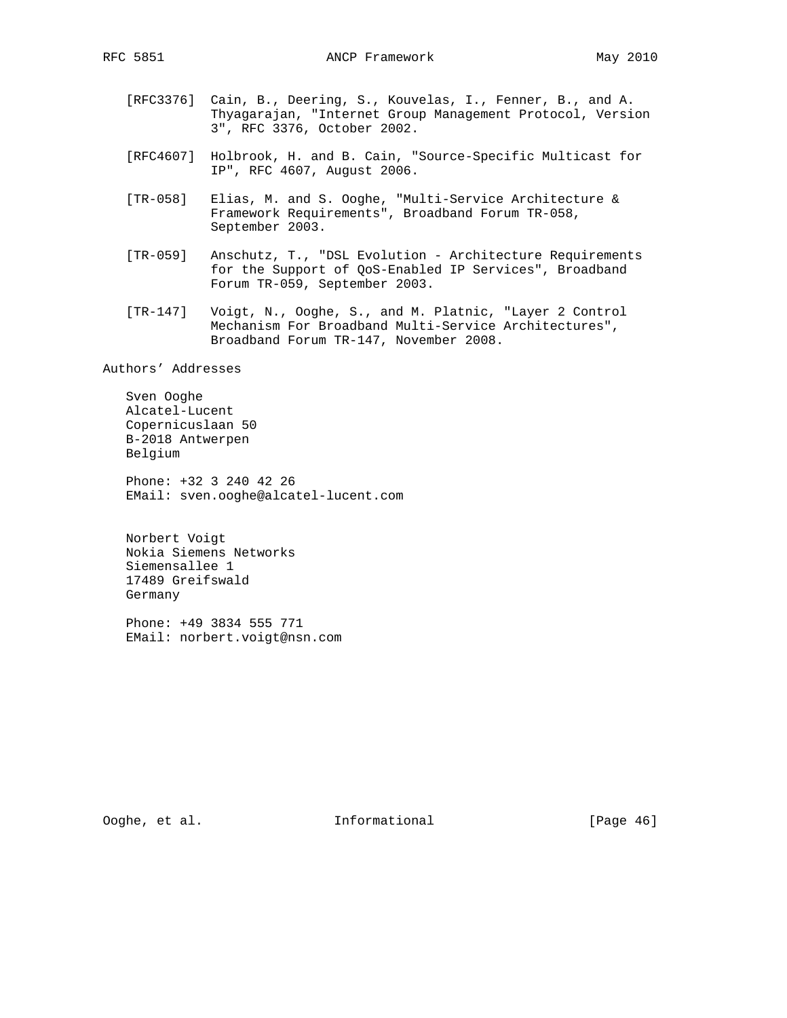- [RFC3376] Cain, B., Deering, S., Kouvelas, I., Fenner, B., and A. Thyagarajan, "Internet Group Management Protocol, Version 3", RFC 3376, October 2002.
	- [RFC4607] Holbrook, H. and B. Cain, "Source-Specific Multicast for IP", RFC 4607, August 2006.
	- [TR-058] Elias, M. and S. Ooghe, "Multi-Service Architecture & Framework Requirements", Broadband Forum TR-058, September 2003.
	- [TR-059] Anschutz, T., "DSL Evolution Architecture Requirements for the Support of QoS-Enabled IP Services", Broadband Forum TR-059, September 2003.
	- [TR-147] Voigt, N., Ooghe, S., and M. Platnic, "Layer 2 Control Mechanism For Broadband Multi-Service Architectures", Broadband Forum TR-147, November 2008.

Authors' Addresses

 Sven Ooghe Alcatel-Lucent Copernicuslaan 50 B-2018 Antwerpen Belgium

 Phone: +32 3 240 42 26 EMail: sven.ooghe@alcatel-lucent.com

 Norbert Voigt Nokia Siemens Networks Siemensallee 1 17489 Greifswald Germany

 Phone: +49 3834 555 771 EMail: norbert.voigt@nsn.com

Ooghe, et al. 1nformational [Page 46]